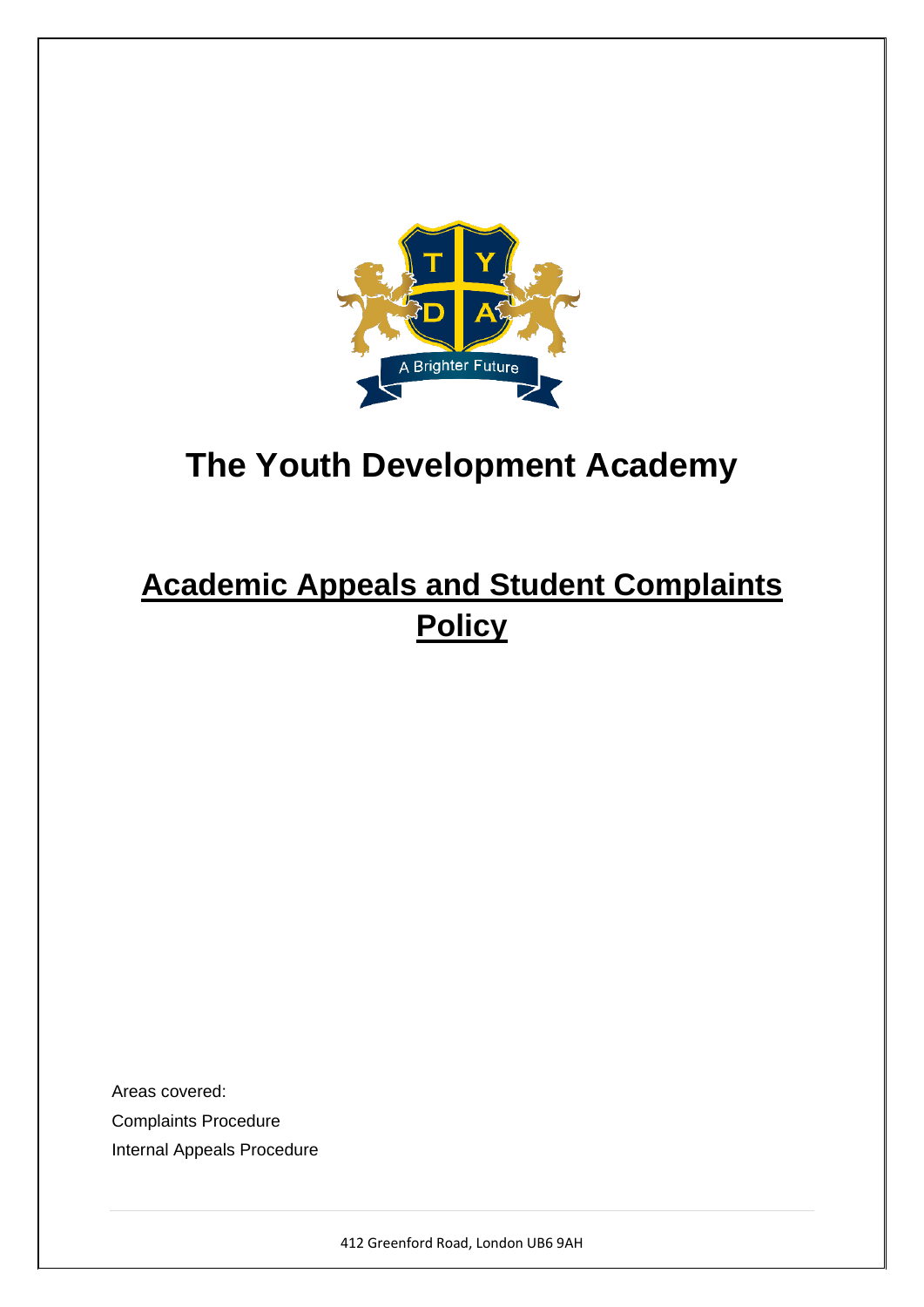

# **Academic Appeals and Student Complaints Policy**

Areas covered: Complaints Procedure Internal Appeals Procedure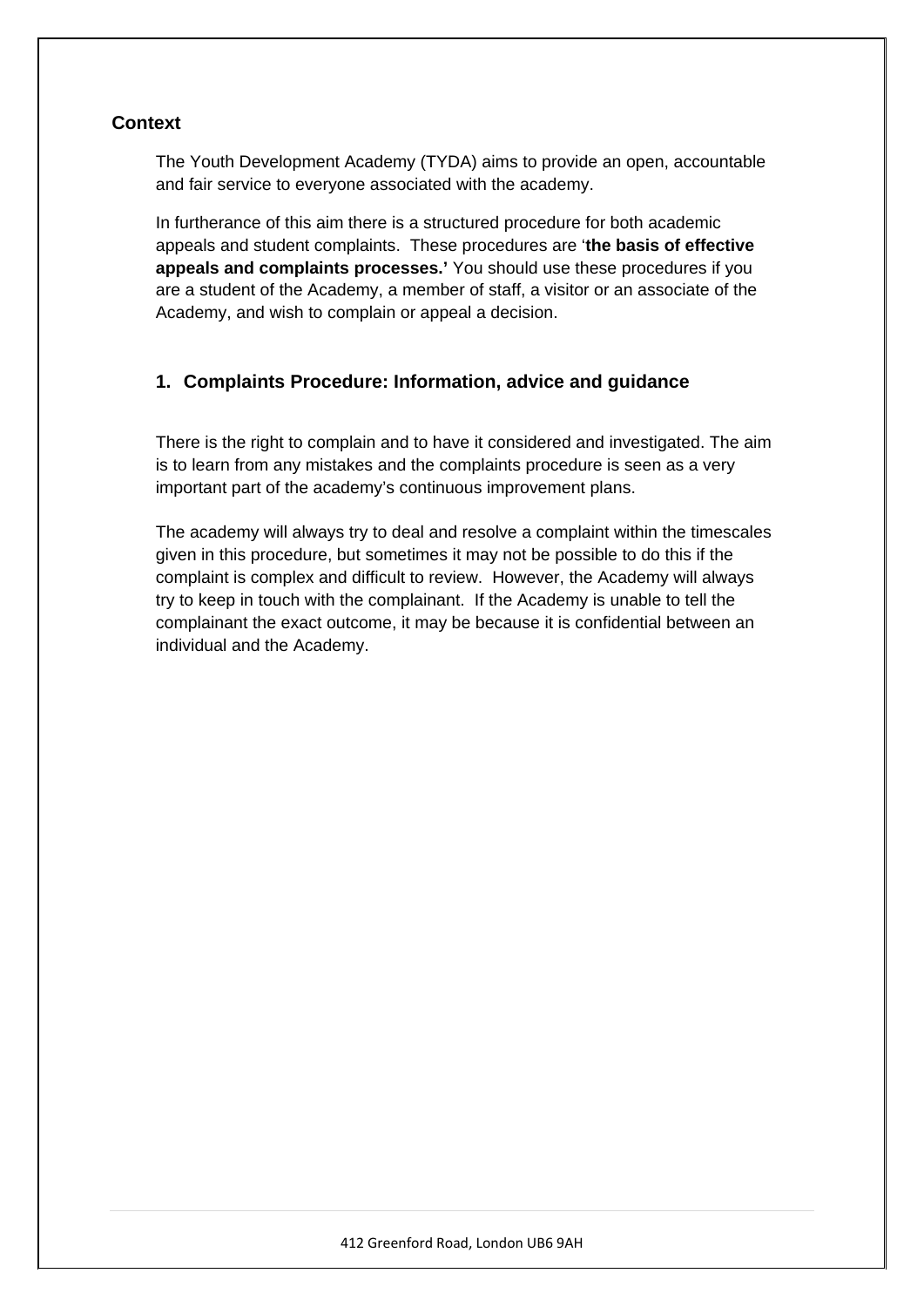# **Context**

The Youth Development Academy (TYDA) aims to provide an open, accountable and fair service to everyone associated with the academy.

In furtherance of this aim there is a structured procedure for both academic appeals and student complaints. These procedures are '**the basis of effective appeals and complaints processes.'** You should use these procedures if you are a student of the Academy, a member of staff, a visitor or an associate of the Academy, and wish to complain or appeal a decision.

# **1. Complaints Procedure: Information, advice and guidance**

There is the right to complain and to have it considered and investigated. The aim is to learn from any mistakes and the complaints procedure is seen as a very important part of the academy's continuous improvement plans.

The academy will always try to deal and resolve a complaint within the timescales given in this procedure, but sometimes it may not be possible to do this if the complaint is complex and difficult to review. However, the Academy will always try to keep in touch with the complainant. If the Academy is unable to tell the complainant the exact outcome, it may be because it is confidential between an individual and the Academy.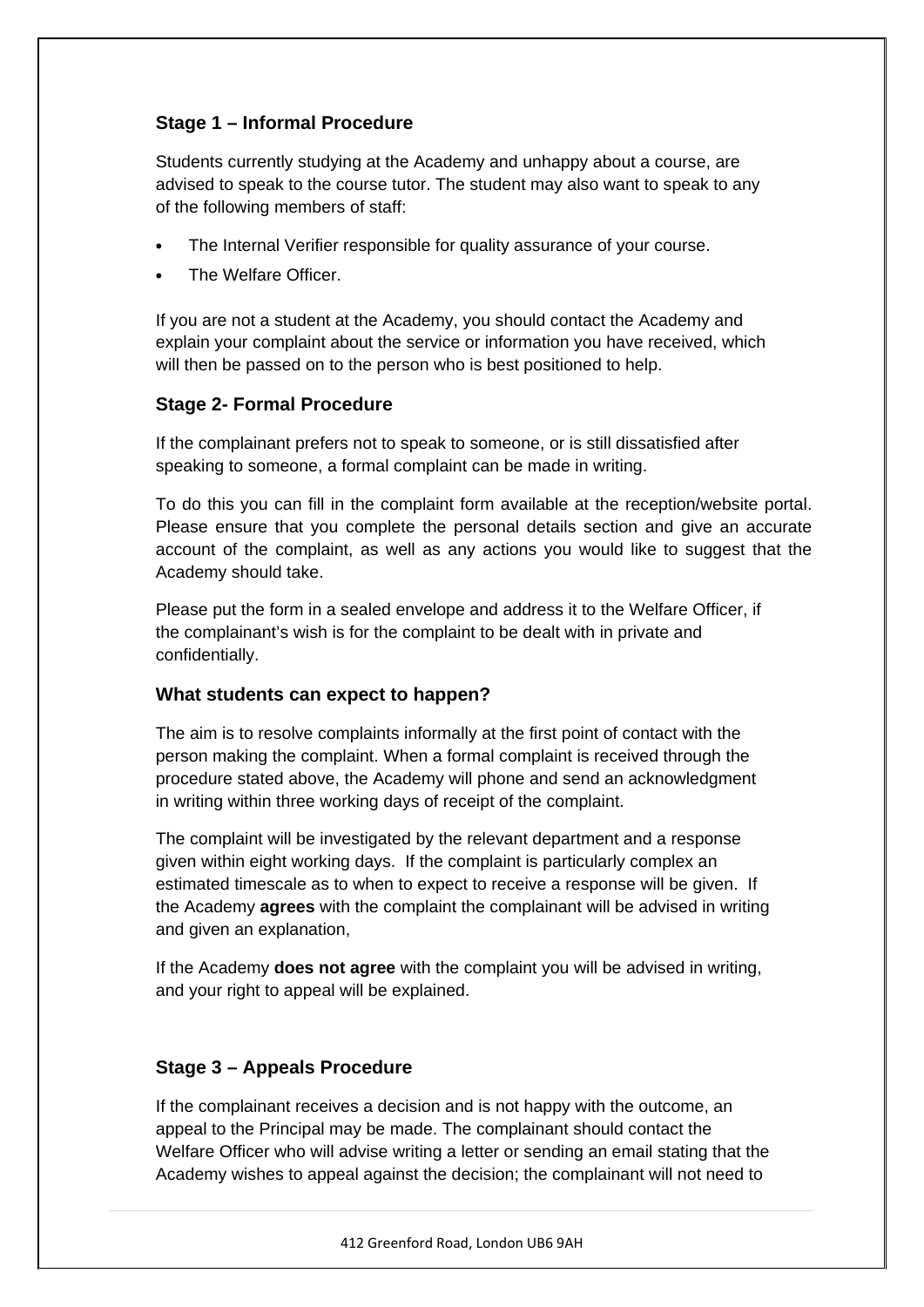# **Stage 1 – Informal Procedure**

Students currently studying at the Academy and unhappy about a course, are advised to speak to the course tutor. The student may also want to speak to any of the following members of staff:

- The Internal Verifier responsible for quality assurance of your course.
- The Welfare Officer

If you are not a student at the Academy, you should contact the Academy and explain your complaint about the service or information you have received, which will then be passed on to the person who is best positioned to help.

#### **Stage 2- Formal Procedure**

If the complainant prefers not to speak to someone, or is still dissatisfied after speaking to someone, a formal complaint can be made in writing.

To do this you can fill in the complaint form available at the reception/website portal. Please ensure that you complete the personal details section and give an accurate account of the complaint, as well as any actions you would like to suggest that the Academy should take.

Please put the form in a sealed envelope and address it to the Welfare Officer, if the complainant's wish is for the complaint to be dealt with in private and confidentially.

## **What students can expect to happen?**

The aim is to resolve complaints informally at the first point of contact with the person making the complaint. When a formal complaint is received through the procedure stated above, the Academy will phone and send an acknowledgment in writing within three working days of receipt of the complaint.

The complaint will be investigated by the relevant department and a response given within eight working days. If the complaint is particularly complex an estimated timescale as to when to expect to receive a response will be given. If the Academy **agrees** with the complaint the complainant will be advised in writing and given an explanation,

If the Academy **does not agree** with the complaint you will be advised in writing, and your right to appeal will be explained.

## **Stage 3 – Appeals Procedure**

If the complainant receives a decision and is not happy with the outcome, an appeal to the Principal may be made. The complainant should contact the Welfare Officer who will advise writing a letter or sending an email stating that the Academy wishes to appeal against the decision; the complainant will not need to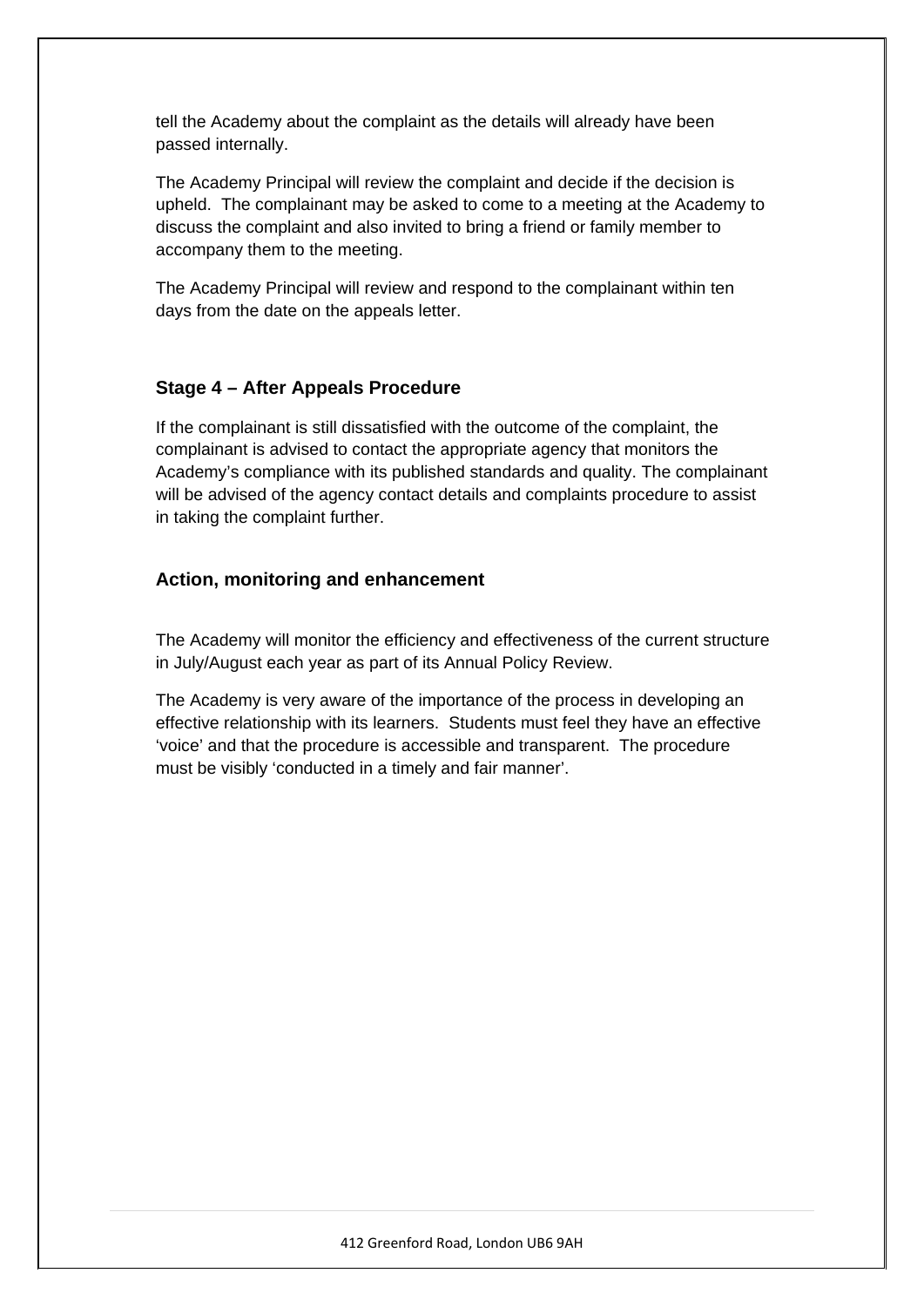tell the Academy about the complaint as the details will already have been passed internally.

The Academy Principal will review the complaint and decide if the decision is upheld. The complainant may be asked to come to a meeting at the Academy to discuss the complaint and also invited to bring a friend or family member to accompany them to the meeting.

The Academy Principal will review and respond to the complainant within ten days from the date on the appeals letter.

# **Stage 4 – After Appeals Procedure**

If the complainant is still dissatisfied with the outcome of the complaint, the complainant is advised to contact the appropriate agency that monitors the Academy's compliance with its published standards and quality. The complainant will be advised of the agency contact details and complaints procedure to assist in taking the complaint further.

## **Action, monitoring and enhancement**

The Academy will monitor the efficiency and effectiveness of the current structure in July/August each year as part of its Annual Policy Review.

The Academy is very aware of the importance of the process in developing an effective relationship with its learners. Students must feel they have an effective 'voice' and that the procedure is accessible and transparent. The procedure must be visibly 'conducted in a timely and fair manner'.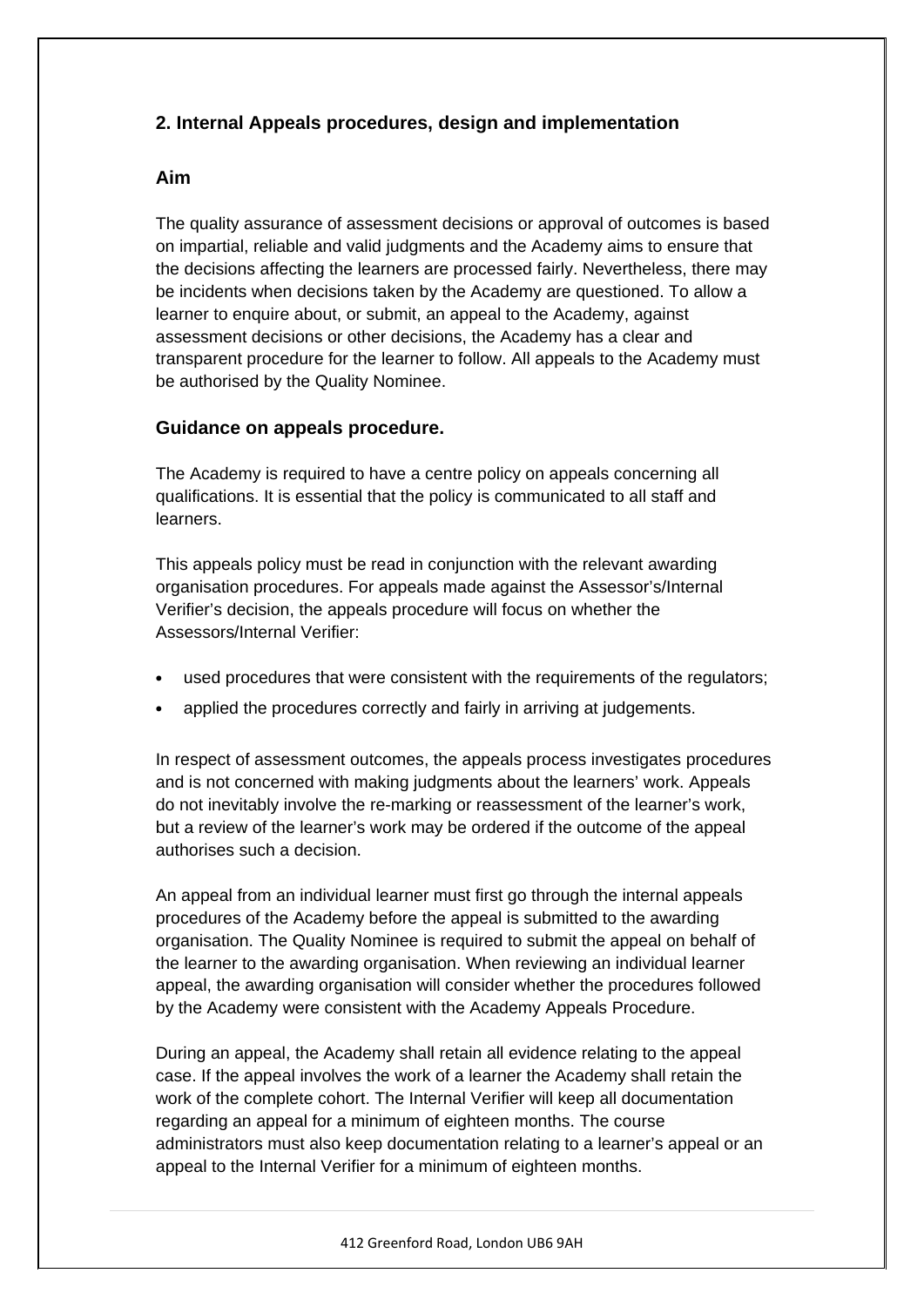# **2. Internal Appeals procedures, design and implementation**

#### **Aim**

The quality assurance of assessment decisions or approval of outcomes is based on impartial, reliable and valid judgments and the Academy aims to ensure that the decisions affecting the learners are processed fairly. Nevertheless, there may be incidents when decisions taken by the Academy are questioned. To allow a learner to enquire about, or submit, an appeal to the Academy, against assessment decisions or other decisions, the Academy has a clear and transparent procedure for the learner to follow. All appeals to the Academy must be authorised by the Quality Nominee.

#### **Guidance on appeals procedure.**

The Academy is required to have a centre policy on appeals concerning all qualifications. It is essential that the policy is communicated to all staff and learners.

This appeals policy must be read in conjunction with the relevant awarding organisation procedures. For appeals made against the Assessor's/Internal Verifier's decision, the appeals procedure will focus on whether the Assessors/Internal Verifier:

- used procedures that were consistent with the requirements of the regulators;
- applied the procedures correctly and fairly in arriving at judgements.

In respect of assessment outcomes, the appeals process investigates procedures and is not concerned with making judgments about the learners' work. Appeals do not inevitably involve the re-marking or reassessment of the learner's work, but a review of the learner's work may be ordered if the outcome of the appeal authorises such a decision.

An appeal from an individual learner must first go through the internal appeals procedures of the Academy before the appeal is submitted to the awarding organisation. The Quality Nominee is required to submit the appeal on behalf of the learner to the awarding organisation. When reviewing an individual learner appeal, the awarding organisation will consider whether the procedures followed by the Academy were consistent with the Academy Appeals Procedure.

During an appeal, the Academy shall retain all evidence relating to the appeal case. If the appeal involves the work of a learner the Academy shall retain the work of the complete cohort. The Internal Verifier will keep all documentation regarding an appeal for a minimum of eighteen months. The course administrators must also keep documentation relating to a learner's appeal or an appeal to the Internal Verifier for a minimum of eighteen months.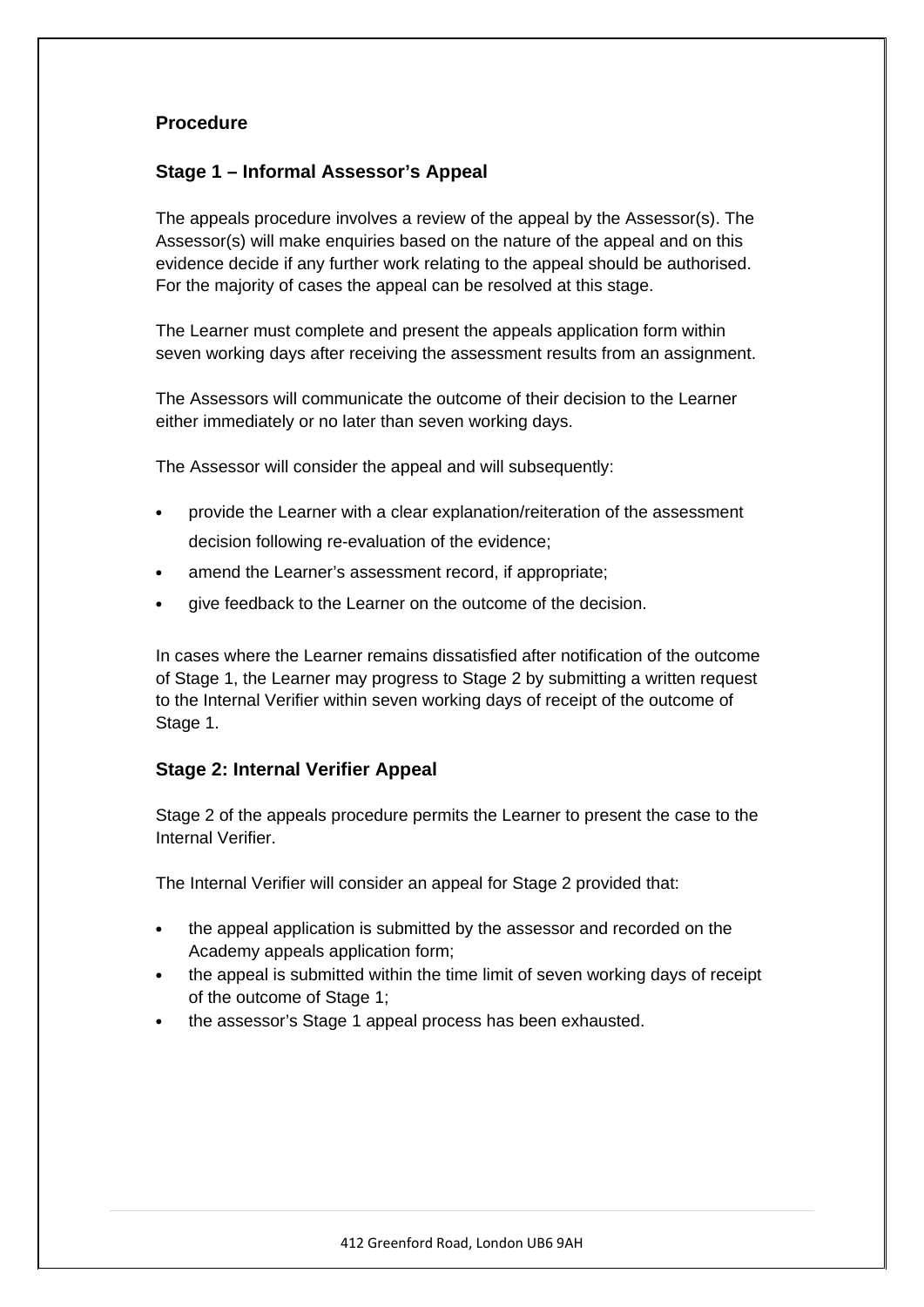# **Procedure**

## **Stage 1 – Informal Assessor's Appeal**

The appeals procedure involves a review of the appeal by the Assessor(s). The Assessor(s) will make enquiries based on the nature of the appeal and on this evidence decide if any further work relating to the appeal should be authorised. For the majority of cases the appeal can be resolved at this stage.

The Learner must complete and present the appeals application form within seven working days after receiving the assessment results from an assignment.

The Assessors will communicate the outcome of their decision to the Learner either immediately or no later than seven working days.

The Assessor will consider the appeal and will subsequently:

- provide the Learner with a clear explanation/reiteration of the assessment decision following re-evaluation of the evidence;
- amend the Learner's assessment record, if appropriate;
- give feedback to the Learner on the outcome of the decision.

In cases where the Learner remains dissatisfied after notification of the outcome of Stage 1, the Learner may progress to Stage 2 by submitting a written request to the Internal Verifier within seven working days of receipt of the outcome of Stage 1.

#### **Stage 2: Internal Verifier Appeal**

Stage 2 of the appeals procedure permits the Learner to present the case to the Internal Verifier.

The Internal Verifier will consider an appeal for Stage 2 provided that:

- the appeal application is submitted by the assessor and recorded on the Academy appeals application form;
- the appeal is submitted within the time limit of seven working days of receipt of the outcome of Stage 1;
- the assessor's Stage 1 appeal process has been exhausted.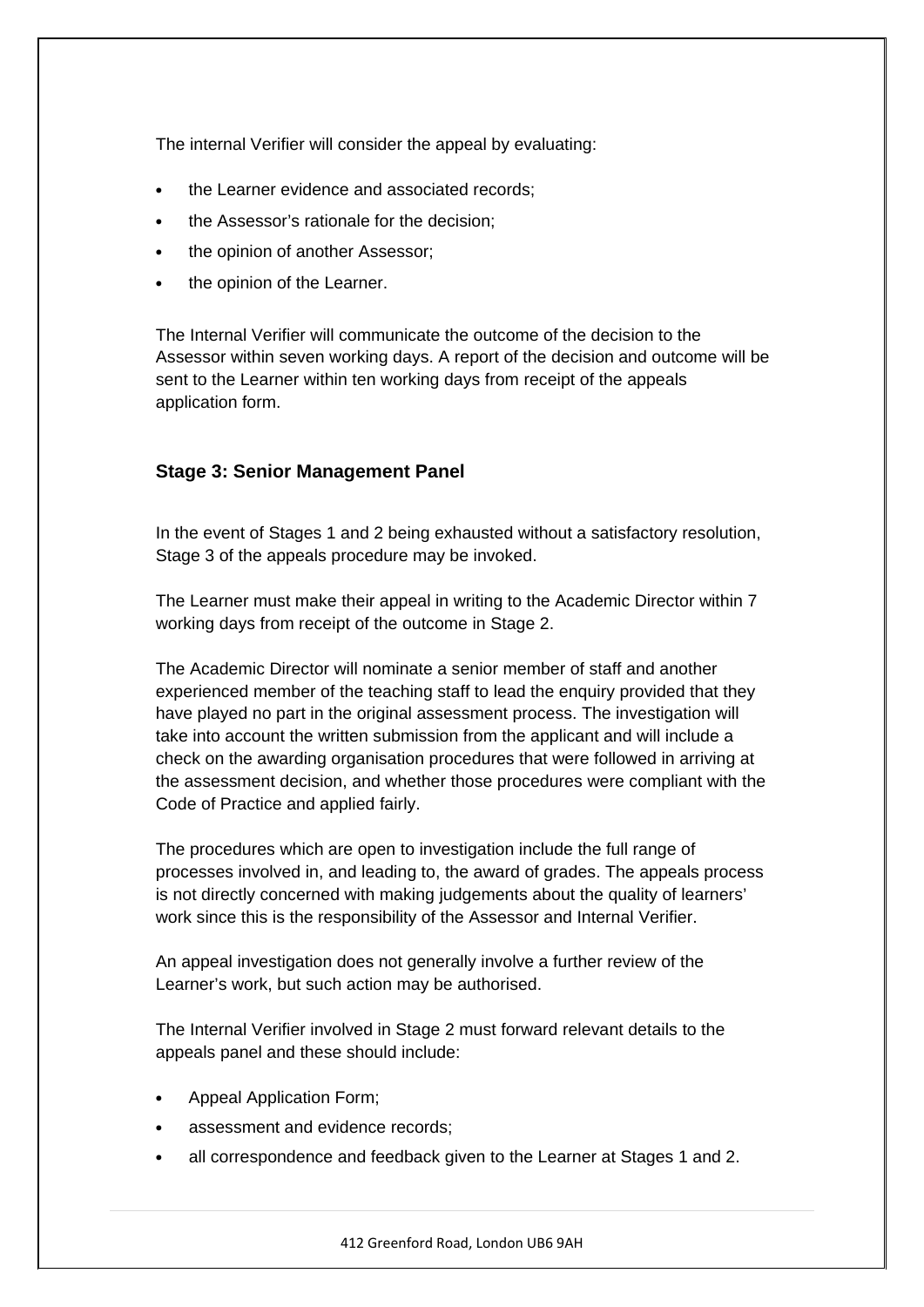The internal Verifier will consider the appeal by evaluating:

- the Learner evidence and associated records;
- the Assessor's rationale for the decision;
- the opinion of another Assessor;
- the opinion of the Learner.

The Internal Verifier will communicate the outcome of the decision to the Assessor within seven working days. A report of the decision and outcome will be sent to the Learner within ten working days from receipt of the appeals application form.

#### **Stage 3: Senior Management Panel**

In the event of Stages 1 and 2 being exhausted without a satisfactory resolution, Stage 3 of the appeals procedure may be invoked.

The Learner must make their appeal in writing to the Academic Director within 7 working days from receipt of the outcome in Stage 2.

The Academic Director will nominate a senior member of staff and another experienced member of the teaching staff to lead the enquiry provided that they have played no part in the original assessment process. The investigation will take into account the written submission from the applicant and will include a check on the awarding organisation procedures that were followed in arriving at the assessment decision, and whether those procedures were compliant with the Code of Practice and applied fairly.

The procedures which are open to investigation include the full range of processes involved in, and leading to, the award of grades. The appeals process is not directly concerned with making judgements about the quality of learners' work since this is the responsibility of the Assessor and Internal Verifier.

An appeal investigation does not generally involve a further review of the Learner's work, but such action may be authorised.

The Internal Verifier involved in Stage 2 must forward relevant details to the appeals panel and these should include:

- Appeal Application Form;
- assessment and evidence records;
- all correspondence and feedback given to the Learner at Stages 1 and 2.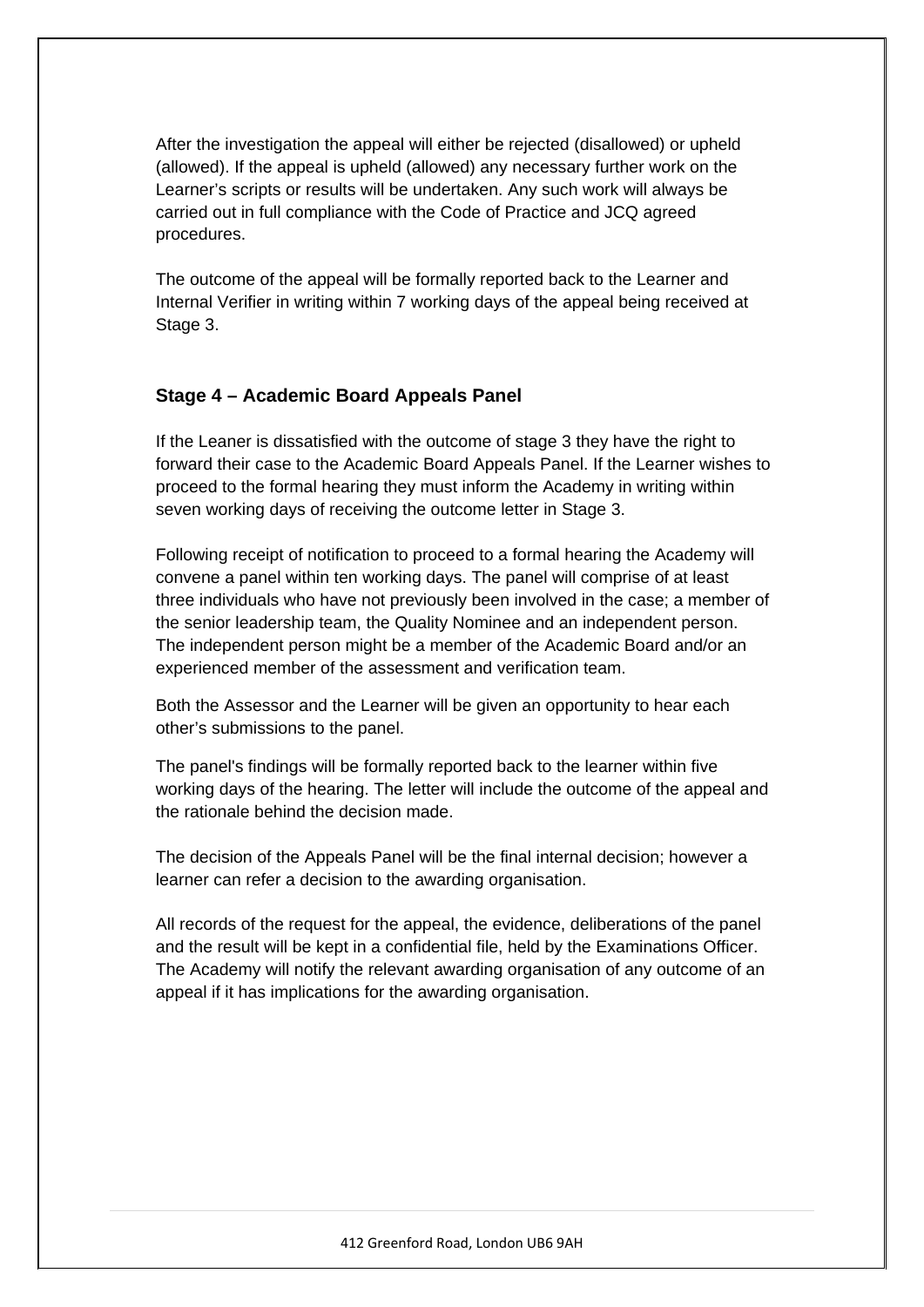After the investigation the appeal will either be rejected (disallowed) or upheld (allowed). If the appeal is upheld (allowed) any necessary further work on the Learner's scripts or results will be undertaken. Any such work will always be carried out in full compliance with the Code of Practice and JCQ agreed procedures.

The outcome of the appeal will be formally reported back to the Learner and Internal Verifier in writing within 7 working days of the appeal being received at Stage 3.

#### **Stage 4 – Academic Board Appeals Panel**

If the Leaner is dissatisfied with the outcome of stage 3 they have the right to forward their case to the Academic Board Appeals Panel. If the Learner wishes to proceed to the formal hearing they must inform the Academy in writing within seven working days of receiving the outcome letter in Stage 3.

Following receipt of notification to proceed to a formal hearing the Academy will convene a panel within ten working days. The panel will comprise of at least three individuals who have not previously been involved in the case; a member of the senior leadership team, the Quality Nominee and an independent person. The independent person might be a member of the Academic Board and/or an experienced member of the assessment and verification team.

Both the Assessor and the Learner will be given an opportunity to hear each other's submissions to the panel.

The panel's findings will be formally reported back to the learner within five working days of the hearing. The letter will include the outcome of the appeal and the rationale behind the decision made.

The decision of the Appeals Panel will be the final internal decision; however a learner can refer a decision to the awarding organisation.

All records of the request for the appeal, the evidence, deliberations of the panel and the result will be kept in a confidential file, held by the Examinations Officer. The Academy will notify the relevant awarding organisation of any outcome of an appeal if it has implications for the awarding organisation.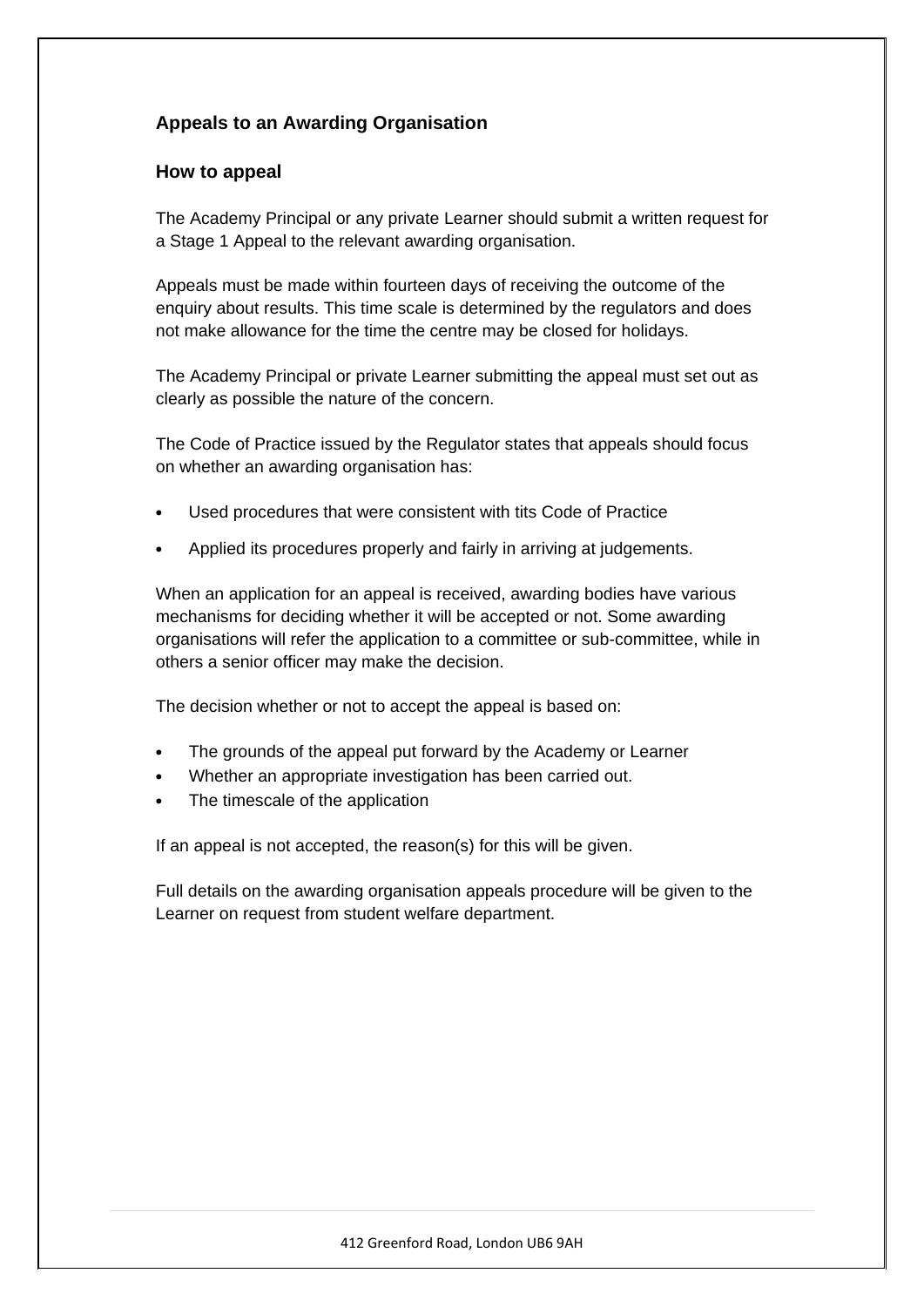# **Appeals to an Awarding Organisation**

#### **How to appeal**

The Academy Principal or any private Learner should submit a written request for a Stage 1 Appeal to the relevant awarding organisation.

Appeals must be made within fourteen days of receiving the outcome of the enquiry about results. This time scale is determined by the regulators and does not make allowance for the time the centre may be closed for holidays.

The Academy Principal or private Learner submitting the appeal must set out as clearly as possible the nature of the concern.

The Code of Practice issued by the Regulator states that appeals should focus on whether an awarding organisation has:

- Used procedures that were consistent with tits Code of Practice
- Applied its procedures properly and fairly in arriving at judgements.

When an application for an appeal is received, awarding bodies have various mechanisms for deciding whether it will be accepted or not. Some awarding organisations will refer the application to a committee or sub-committee, while in others a senior officer may make the decision.

The decision whether or not to accept the appeal is based on:

- The grounds of the appeal put forward by the Academy or Learner
- Whether an appropriate investigation has been carried out.
- The timescale of the application

If an appeal is not accepted, the reason(s) for this will be given.

Full details on the awarding organisation appeals procedure will be given to the Learner on request from student welfare department.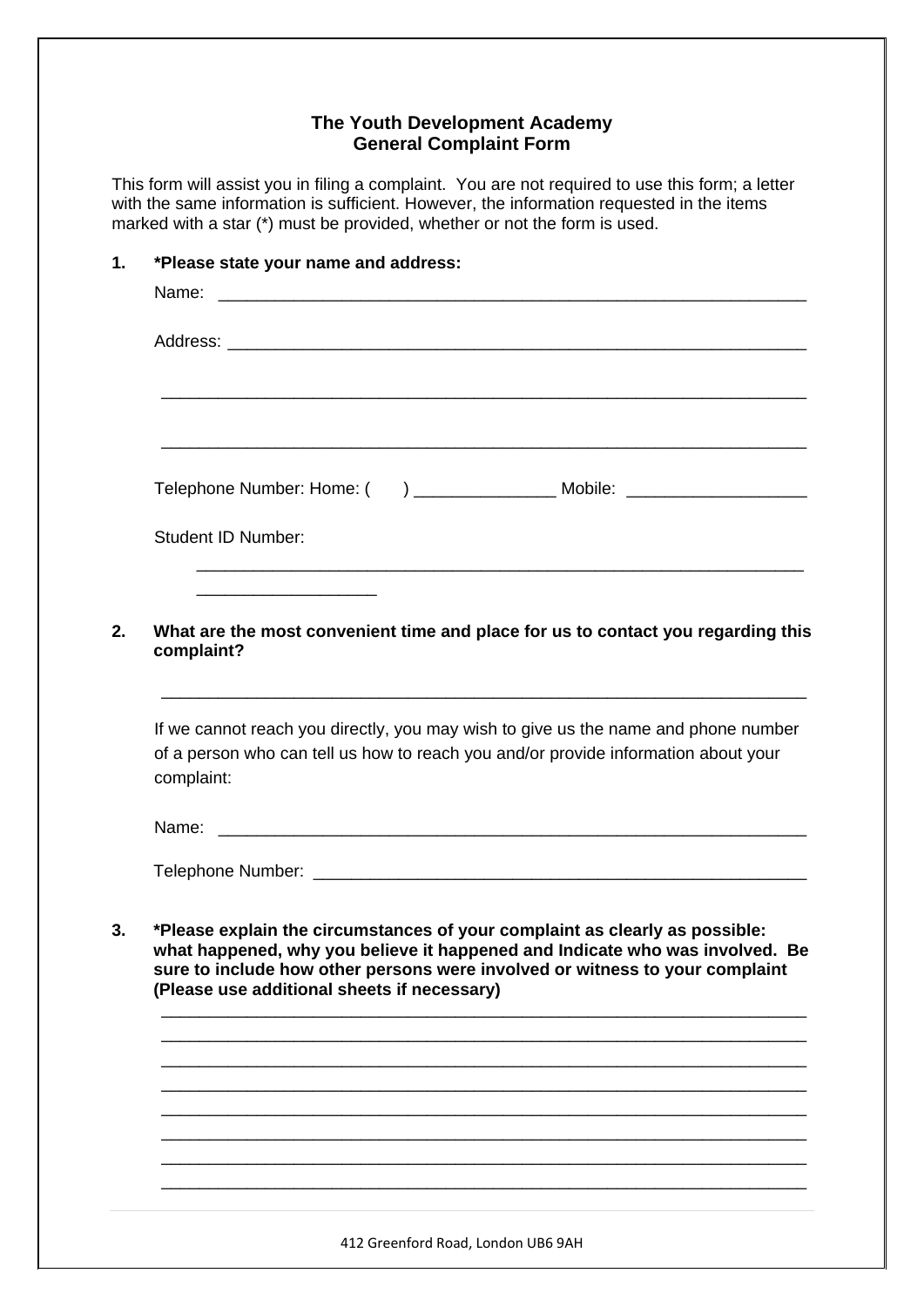### **The Youth Development Academy General Complaint Form**

This form will assist you in filing a complaint. You are not required to use this form; a letter with the same information is sufficient. However, the information requested in the items marked with a star (\*) must be provided, whether or not the form is used.

|            | Telephone Number: Home: ( ) ___________________ Mobile: ________________________                                                                                                                                                                                                           |
|------------|--------------------------------------------------------------------------------------------------------------------------------------------------------------------------------------------------------------------------------------------------------------------------------------------|
|            | <b>Student ID Number:</b>                                                                                                                                                                                                                                                                  |
|            | What are the most convenient time and place for us to contact you regarding this<br>complaint?                                                                                                                                                                                             |
| complaint: | If we cannot reach you directly, you may wish to give us the name and phone number<br>of a person who can tell us how to reach you and/or provide information about your                                                                                                                   |
|            |                                                                                                                                                                                                                                                                                            |
|            |                                                                                                                                                                                                                                                                                            |
|            | *Please explain the circumstances of your complaint as clearly as possible:<br>what happened, why you believe it happened and Indicate who was involved. Be<br>sure to include how other persons were involved or witness to your complaint<br>(Please use additional sheets if necessary) |
|            |                                                                                                                                                                                                                                                                                            |
|            |                                                                                                                                                                                                                                                                                            |
|            |                                                                                                                                                                                                                                                                                            |

\_\_\_\_\_\_\_\_\_\_\_\_\_\_\_\_\_\_\_\_\_\_\_\_\_\_\_\_\_\_\_\_\_\_\_\_\_\_\_\_\_\_\_\_\_\_\_\_\_\_\_\_\_\_\_\_\_\_\_\_\_\_\_\_\_\_\_\_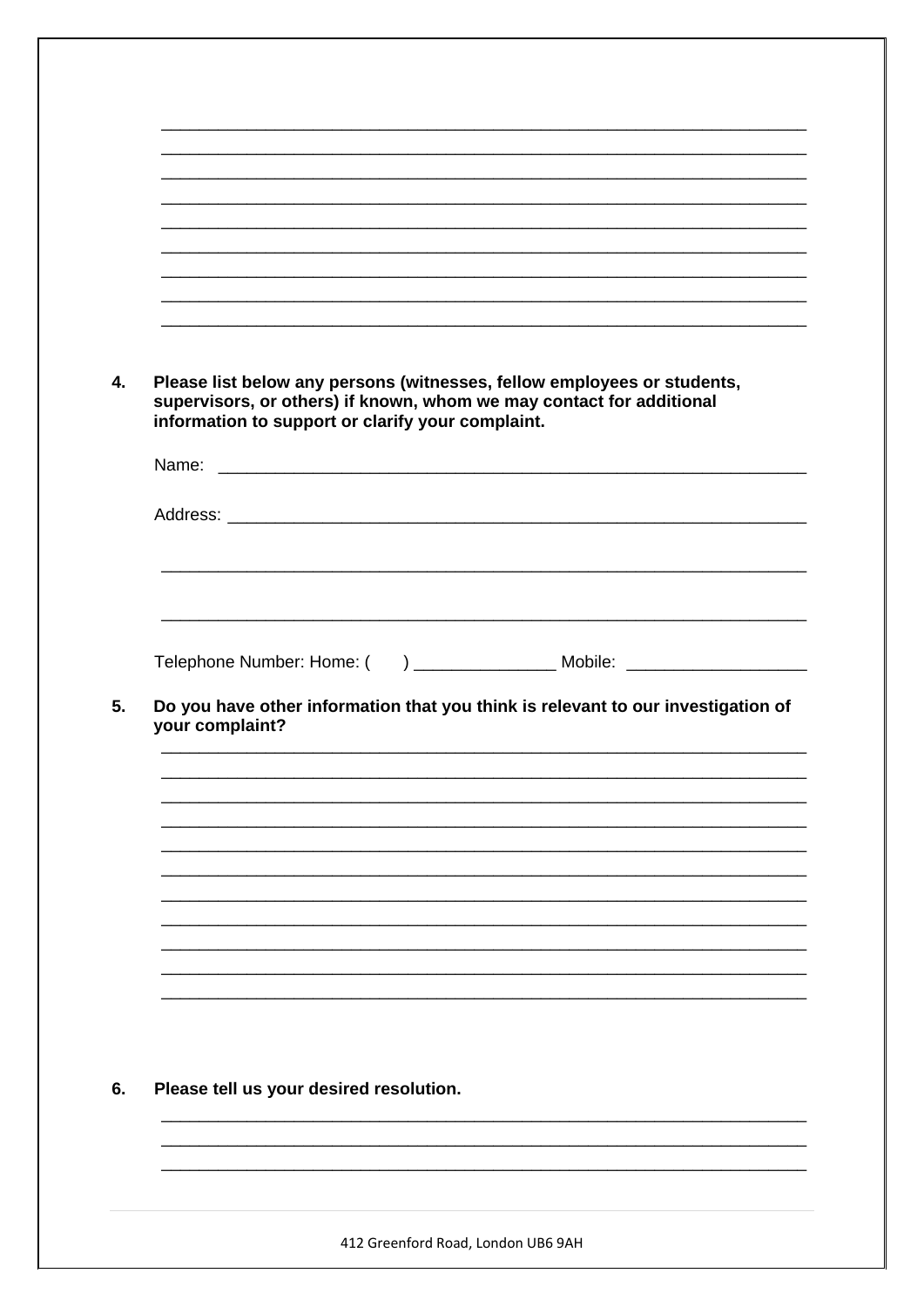|                 | Please list below any persons (witnesses, fellow employees or students,<br>supervisors, or others) if known, whom we may contact for additional |
|-----------------|-------------------------------------------------------------------------------------------------------------------------------------------------|
|                 | information to support or clarify your complaint.                                                                                               |
|                 |                                                                                                                                                 |
|                 |                                                                                                                                                 |
|                 |                                                                                                                                                 |
|                 |                                                                                                                                                 |
|                 |                                                                                                                                                 |
|                 | Telephone Number: Home: ( ) __________________ Mobile: _________________________                                                                |
|                 |                                                                                                                                                 |
|                 |                                                                                                                                                 |
| your complaint? | Do you have other information that you think is relevant to our investigation of                                                                |
|                 |                                                                                                                                                 |
|                 |                                                                                                                                                 |
|                 |                                                                                                                                                 |
|                 |                                                                                                                                                 |
|                 |                                                                                                                                                 |
|                 |                                                                                                                                                 |
|                 |                                                                                                                                                 |
|                 |                                                                                                                                                 |
|                 |                                                                                                                                                 |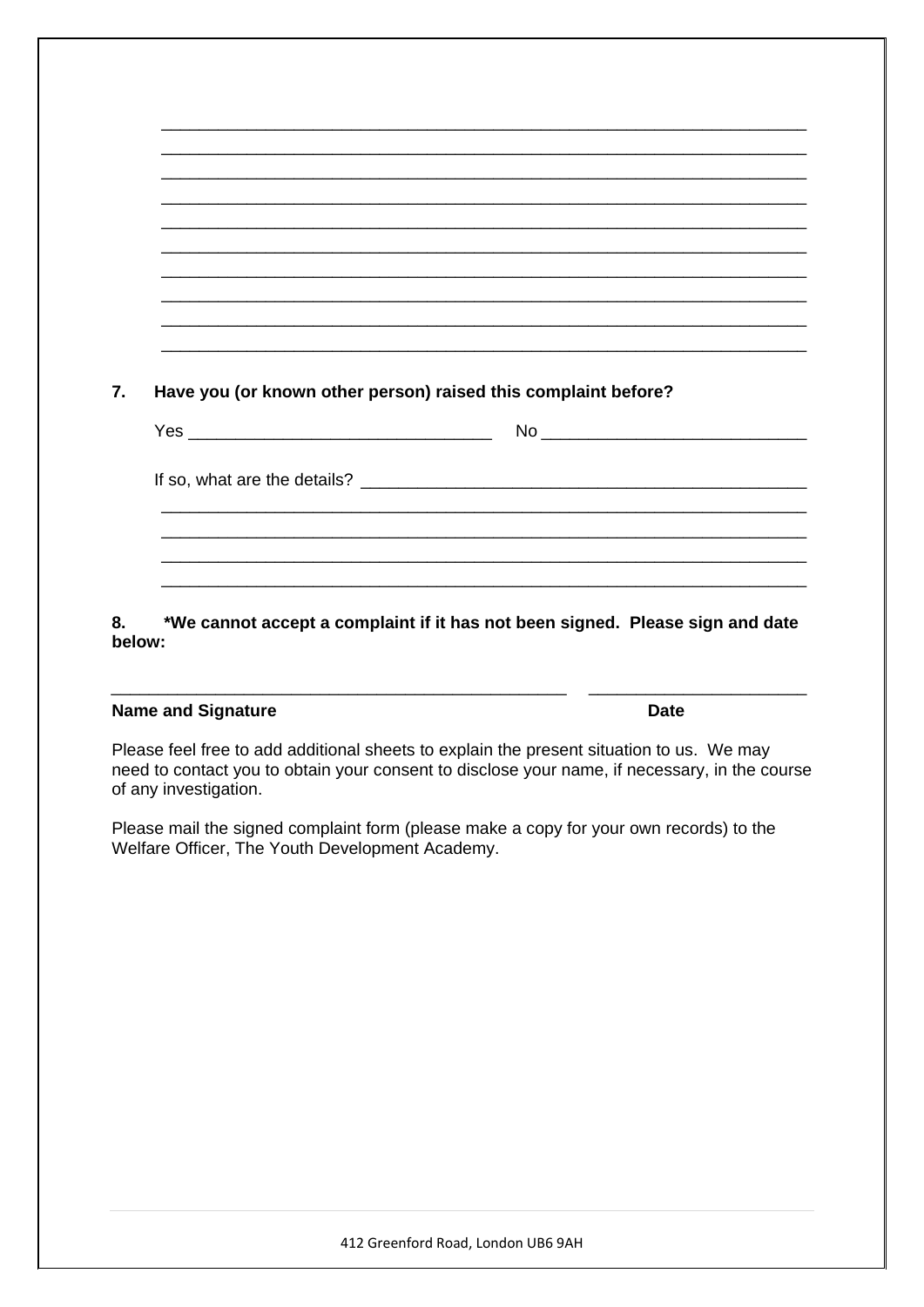| Have you (or known other person) raised this complaint before? |  |
|----------------------------------------------------------------|--|
|                                                                |  |
|                                                                |  |
|                                                                |  |

8. \*We cannot accept a complaint if it has not been signed. Please sign and date below:

#### **Name and Signature**

Please feel free to add additional sheets to explain the present situation to us. We may need to contact you to obtain your consent to disclose your name, if necessary, in the course of any investigation.

Please mail the signed complaint form (please make a copy for your own records) to the Welfare Officer, The Youth Development Academy.

**Date**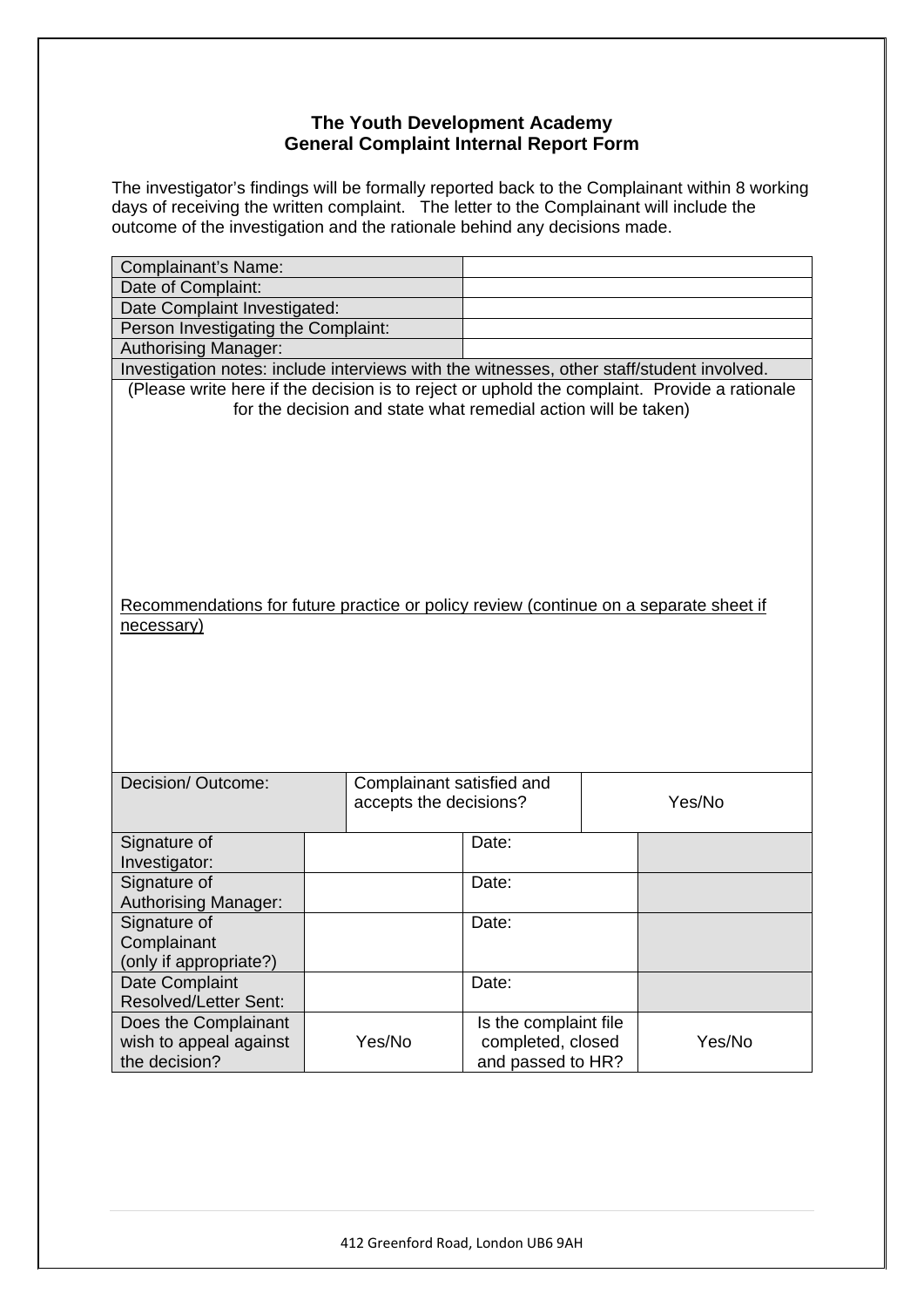## **The Youth Development Academy General Complaint Internal Report Form**

The investigator's findings will be formally reported back to the Complainant within 8 working days of receiving the written complaint. The letter to the Complainant will include the outcome of the investigation and the rationale behind any decisions made.

| Complainant's Name:                                                                          |                                     |                           |                                                                |  |        |  |  |  |
|----------------------------------------------------------------------------------------------|-------------------------------------|---------------------------|----------------------------------------------------------------|--|--------|--|--|--|
| Date of Complaint:                                                                           |                                     |                           |                                                                |  |        |  |  |  |
| Date Complaint Investigated:                                                                 |                                     |                           |                                                                |  |        |  |  |  |
|                                                                                              | Person Investigating the Complaint: |                           |                                                                |  |        |  |  |  |
| Authorising Manager:                                                                         |                                     |                           |                                                                |  |        |  |  |  |
| Investigation notes: include interviews with the witnesses, other staff/student involved.    |                                     |                           |                                                                |  |        |  |  |  |
| (Please write here if the decision is to reject or uphold the complaint. Provide a rationale |                                     |                           | for the decision and state what remedial action will be taken) |  |        |  |  |  |
|                                                                                              |                                     |                           |                                                                |  |        |  |  |  |
|                                                                                              |                                     |                           |                                                                |  |        |  |  |  |
|                                                                                              |                                     |                           |                                                                |  |        |  |  |  |
|                                                                                              |                                     |                           |                                                                |  |        |  |  |  |
|                                                                                              |                                     |                           |                                                                |  |        |  |  |  |
|                                                                                              |                                     |                           |                                                                |  |        |  |  |  |
|                                                                                              |                                     |                           |                                                                |  |        |  |  |  |
|                                                                                              |                                     |                           |                                                                |  |        |  |  |  |
|                                                                                              |                                     |                           |                                                                |  |        |  |  |  |
| Recommendations for future practice or policy review (continue on a separate sheet if        |                                     |                           |                                                                |  |        |  |  |  |
| necessary)                                                                                   |                                     |                           |                                                                |  |        |  |  |  |
|                                                                                              |                                     |                           |                                                                |  |        |  |  |  |
|                                                                                              |                                     |                           |                                                                |  |        |  |  |  |
|                                                                                              |                                     |                           |                                                                |  |        |  |  |  |
|                                                                                              |                                     |                           |                                                                |  |        |  |  |  |
|                                                                                              |                                     |                           |                                                                |  |        |  |  |  |
|                                                                                              |                                     |                           |                                                                |  |        |  |  |  |
| Decision/Outcome:                                                                            |                                     | Complainant satisfied and |                                                                |  |        |  |  |  |
|                                                                                              |                                     | accepts the decisions?    |                                                                |  | Yes/No |  |  |  |
|                                                                                              |                                     |                           |                                                                |  |        |  |  |  |
| Signature of                                                                                 |                                     |                           | Date:                                                          |  |        |  |  |  |
| Investigator:                                                                                |                                     |                           |                                                                |  |        |  |  |  |
| Signature of                                                                                 |                                     |                           | Date:                                                          |  |        |  |  |  |
| <b>Authorising Manager:</b>                                                                  |                                     |                           |                                                                |  |        |  |  |  |
| Signature of                                                                                 |                                     |                           | Date:                                                          |  |        |  |  |  |
| Complainant                                                                                  |                                     |                           |                                                                |  |        |  |  |  |
| (only if appropriate?)                                                                       |                                     |                           |                                                                |  |        |  |  |  |
| Date Complaint                                                                               |                                     |                           | Date:                                                          |  |        |  |  |  |
| <b>Resolved/Letter Sent:</b>                                                                 |                                     |                           |                                                                |  |        |  |  |  |
| Does the Complainant                                                                         |                                     |                           | Is the complaint file                                          |  |        |  |  |  |
| wish to appeal against                                                                       |                                     | Yes/No                    | completed, closed<br>Yes/No                                    |  |        |  |  |  |
| the decision?                                                                                |                                     |                           | and passed to HR?                                              |  |        |  |  |  |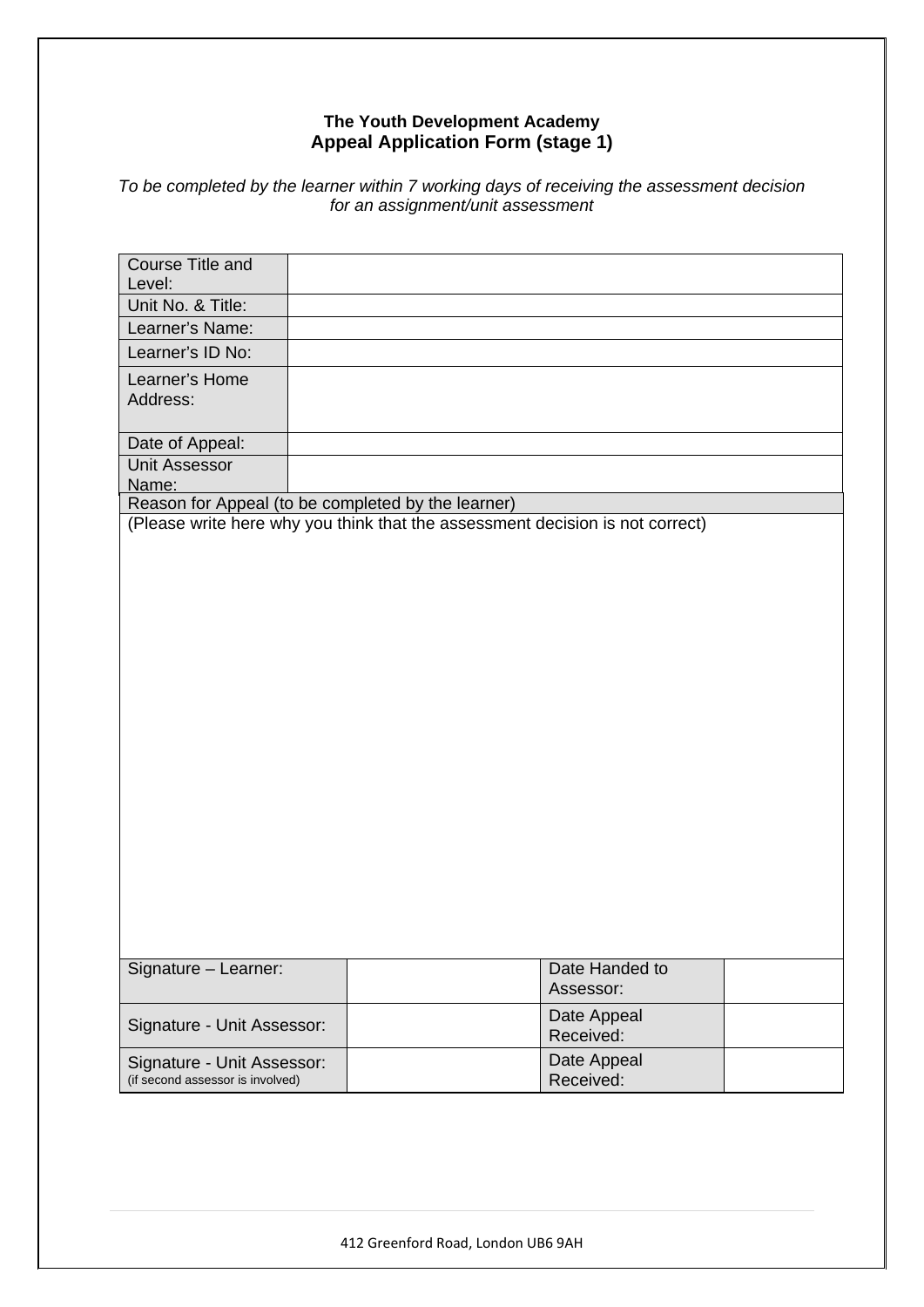## **The Youth Development Academy Appeal Application Form (stage 1)**

## *To be completed by the learner within 7 working days of receiving the assessment decision for an assignment/unit assessment*

| Course Title and<br>Level:                         |                                                                               |  |
|----------------------------------------------------|-------------------------------------------------------------------------------|--|
| Unit No. & Title:                                  |                                                                               |  |
| Learner's Name:                                    |                                                                               |  |
|                                                    |                                                                               |  |
| Learner's ID No:                                   |                                                                               |  |
| Learner's Home                                     |                                                                               |  |
| Address:                                           |                                                                               |  |
| Date of Appeal:                                    |                                                                               |  |
| <b>Unit Assessor</b>                               |                                                                               |  |
| Name:                                              |                                                                               |  |
| Reason for Appeal (to be completed by the learner) |                                                                               |  |
|                                                    | (Please write here why you think that the assessment decision is not correct) |  |
|                                                    |                                                                               |  |
|                                                    |                                                                               |  |
|                                                    |                                                                               |  |
|                                                    |                                                                               |  |
|                                                    |                                                                               |  |
|                                                    |                                                                               |  |
|                                                    |                                                                               |  |
|                                                    |                                                                               |  |
|                                                    |                                                                               |  |
|                                                    |                                                                               |  |
|                                                    |                                                                               |  |
|                                                    |                                                                               |  |
|                                                    |                                                                               |  |
|                                                    |                                                                               |  |
|                                                    |                                                                               |  |
|                                                    |                                                                               |  |
|                                                    |                                                                               |  |
|                                                    |                                                                               |  |
|                                                    |                                                                               |  |
|                                                    |                                                                               |  |
|                                                    |                                                                               |  |
|                                                    |                                                                               |  |
| Signature - Learner:                               | Date Handed to                                                                |  |
|                                                    | Assessor:                                                                     |  |
|                                                    | Date Appeal                                                                   |  |
| Signature - Unit Assessor:                         | Received:                                                                     |  |
| Signature - Unit Assessor:                         | Date Appeal                                                                   |  |
| (if second assessor is involved)                   | Received:                                                                     |  |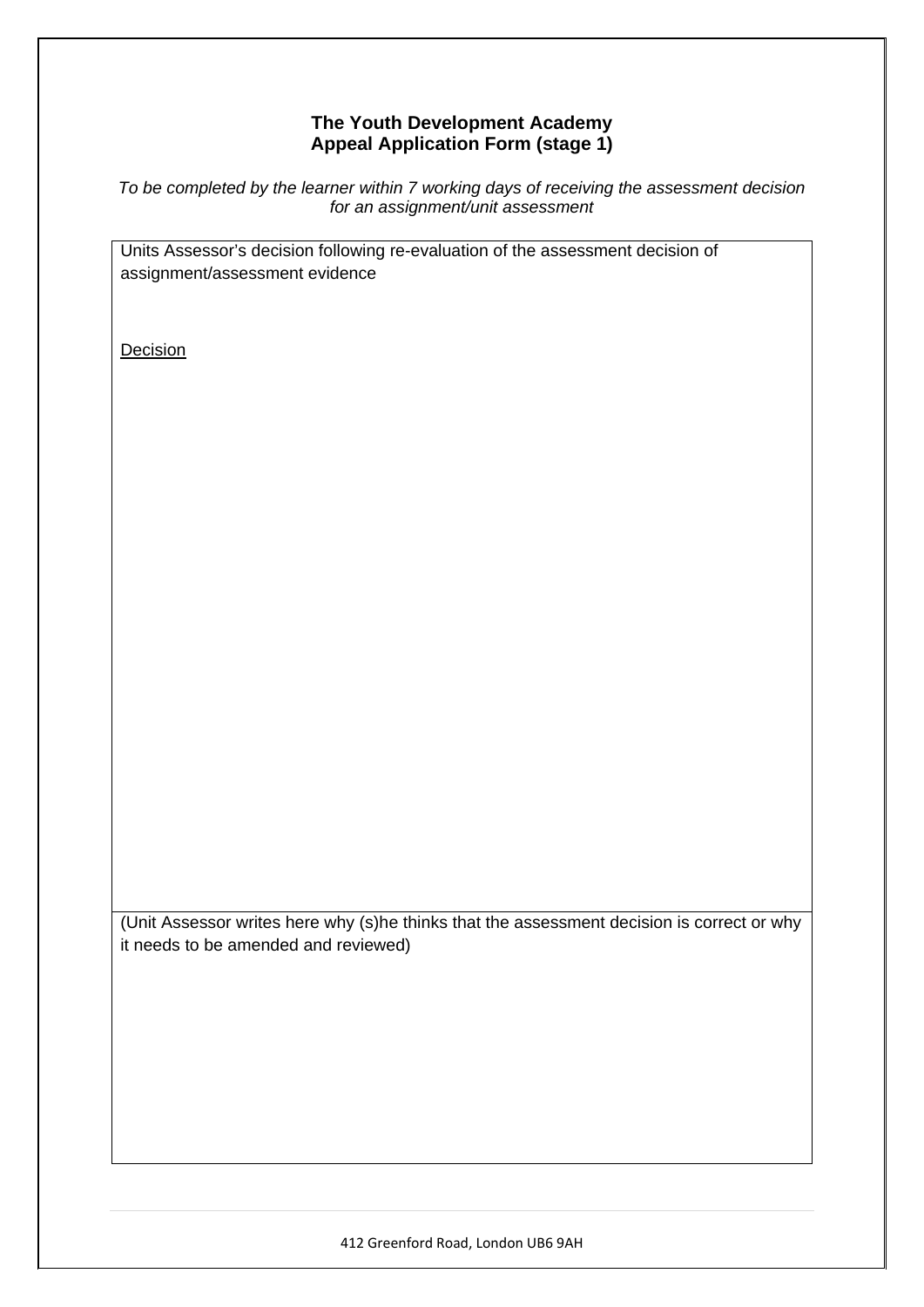## **The Youth Development Academy Appeal Application Form (stage 1)**

*To be completed by the learner within 7 working days of receiving the assessment decision for an assignment/unit assessment* 

Units Assessor's decision following re-evaluation of the assessment decision of assignment/assessment evidence

**Decision** 

(Unit Assessor writes here why (s)he thinks that the assessment decision is correct or why it needs to be amended and reviewed)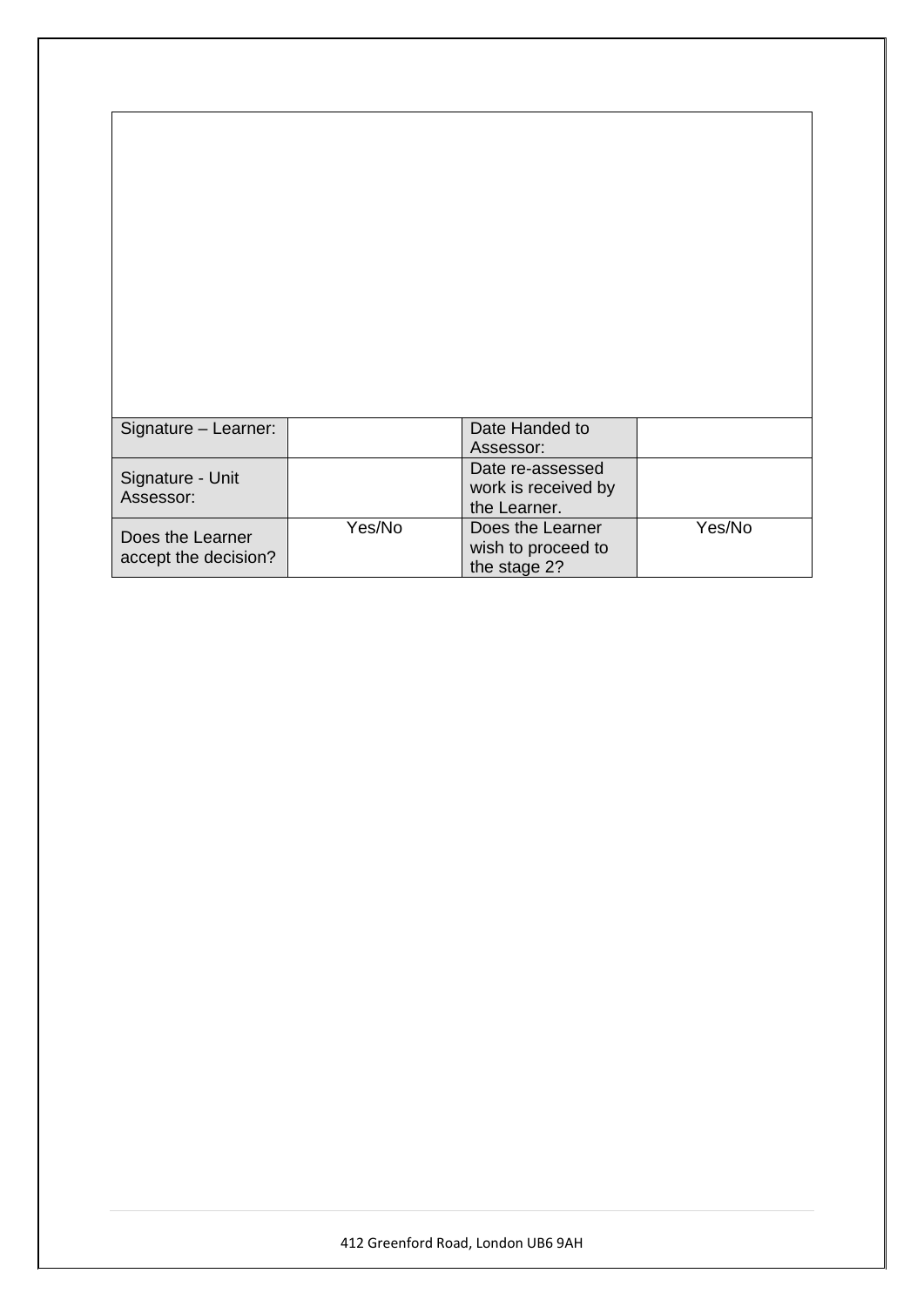| Signature - Learner: |        | Date Handed to      |        |
|----------------------|--------|---------------------|--------|
|                      |        | Assessor:           |        |
|                      |        | Date re-assessed    |        |
| Signature - Unit     |        | work is received by |        |
| Assessor:            |        | the Learner.        |        |
|                      | Yes/No | Does the Learner    | Yes/No |
| Does the Learner     |        | wish to proceed to  |        |
| accept the decision? |        | the stage 2?        |        |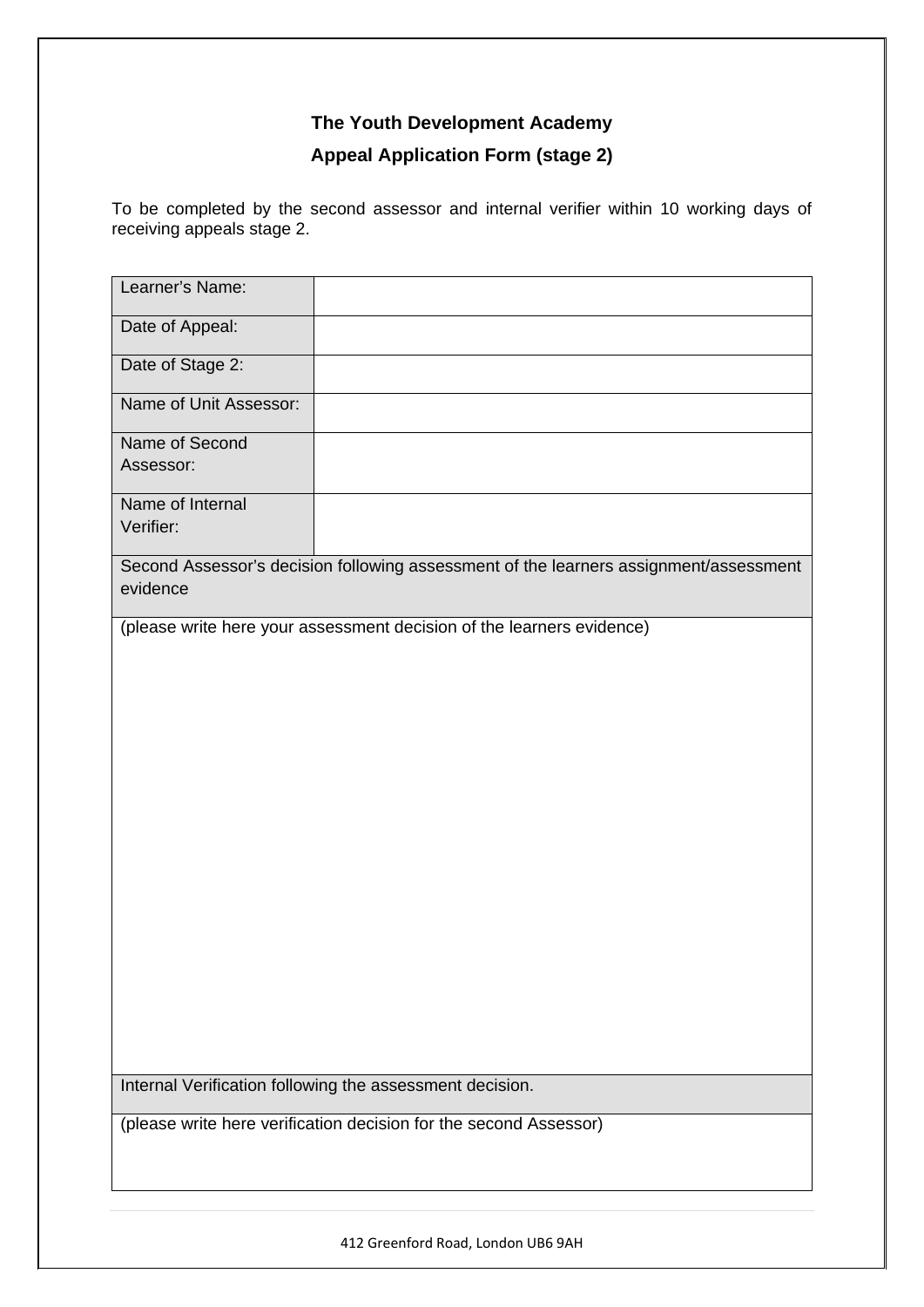# **Appeal Application Form (stage 2)**

To be completed by the second assessor and internal verifier within 10 working days of receiving appeals stage 2.

| Learner's Name:               |                                                                                       |
|-------------------------------|---------------------------------------------------------------------------------------|
| Date of Appeal:               |                                                                                       |
| Date of Stage 2:              |                                                                                       |
| Name of Unit Assessor:        |                                                                                       |
| Name of Second<br>Assessor:   |                                                                                       |
| Name of Internal<br>Verifier: |                                                                                       |
| evidence                      | Second Assessor's decision following assessment of the learners assignment/assessment |
|                               | (please write here your assessment decision of the learners evidence)                 |
|                               |                                                                                       |
|                               |                                                                                       |
|                               |                                                                                       |
|                               |                                                                                       |
|                               |                                                                                       |
|                               |                                                                                       |
|                               |                                                                                       |
|                               |                                                                                       |
|                               |                                                                                       |
|                               |                                                                                       |
|                               | Internal Verification following the assessment decision.                              |
|                               | (please write here verification decision for the second Assessor)                     |
|                               |                                                                                       |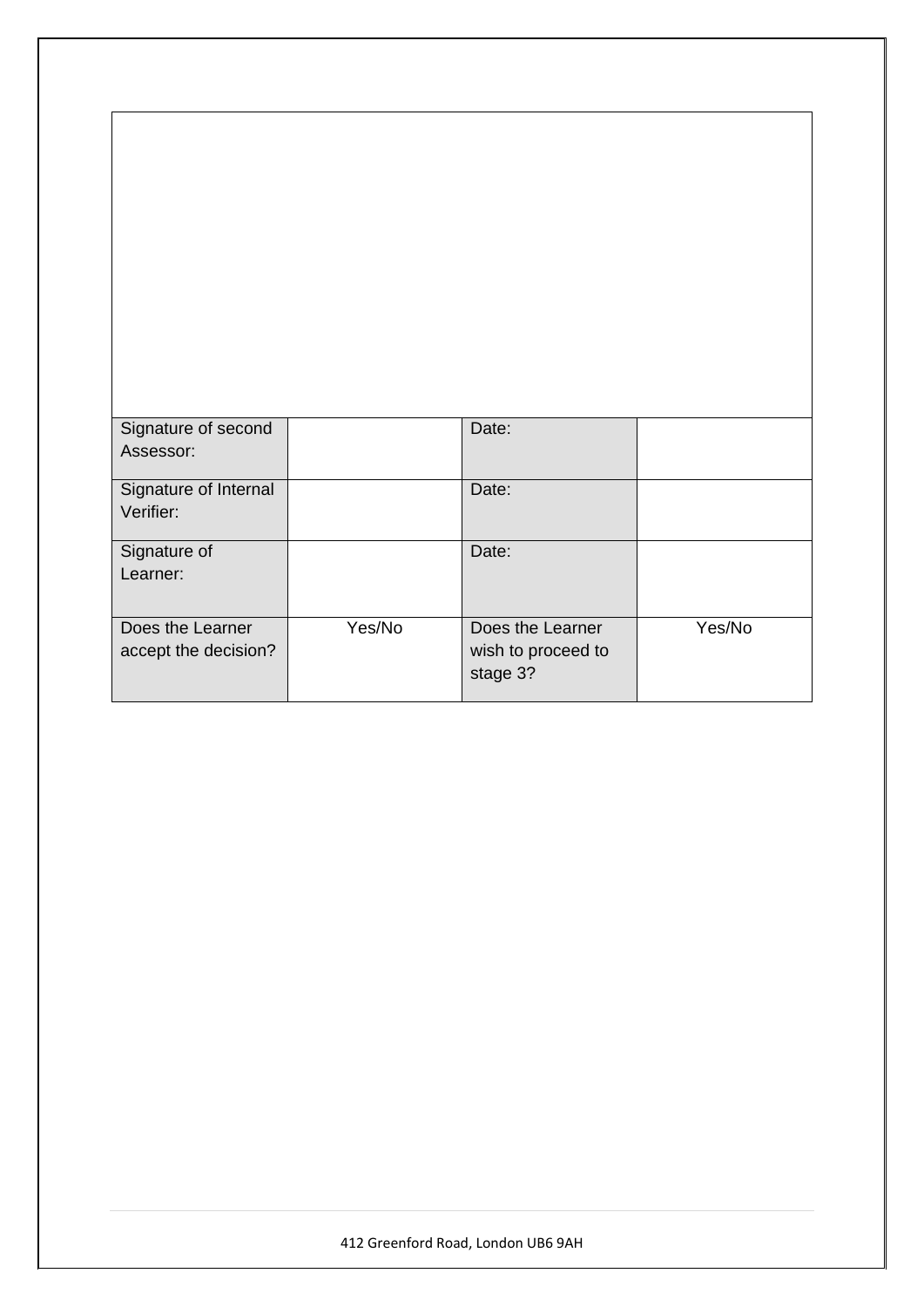| Signature of second<br>Assessor: |        | Date:                          |        |
|----------------------------------|--------|--------------------------------|--------|
| Signature of Internal            |        | Date:                          |        |
| Verifier:                        |        |                                |        |
| Signature of                     |        | Date:                          |        |
| Learner:                         |        |                                |        |
| Does the Learner                 | Yes/No | Does the Learner               | Yes/No |
| accept the decision?             |        | wish to proceed to<br>stage 3? |        |
|                                  |        |                                |        |

٦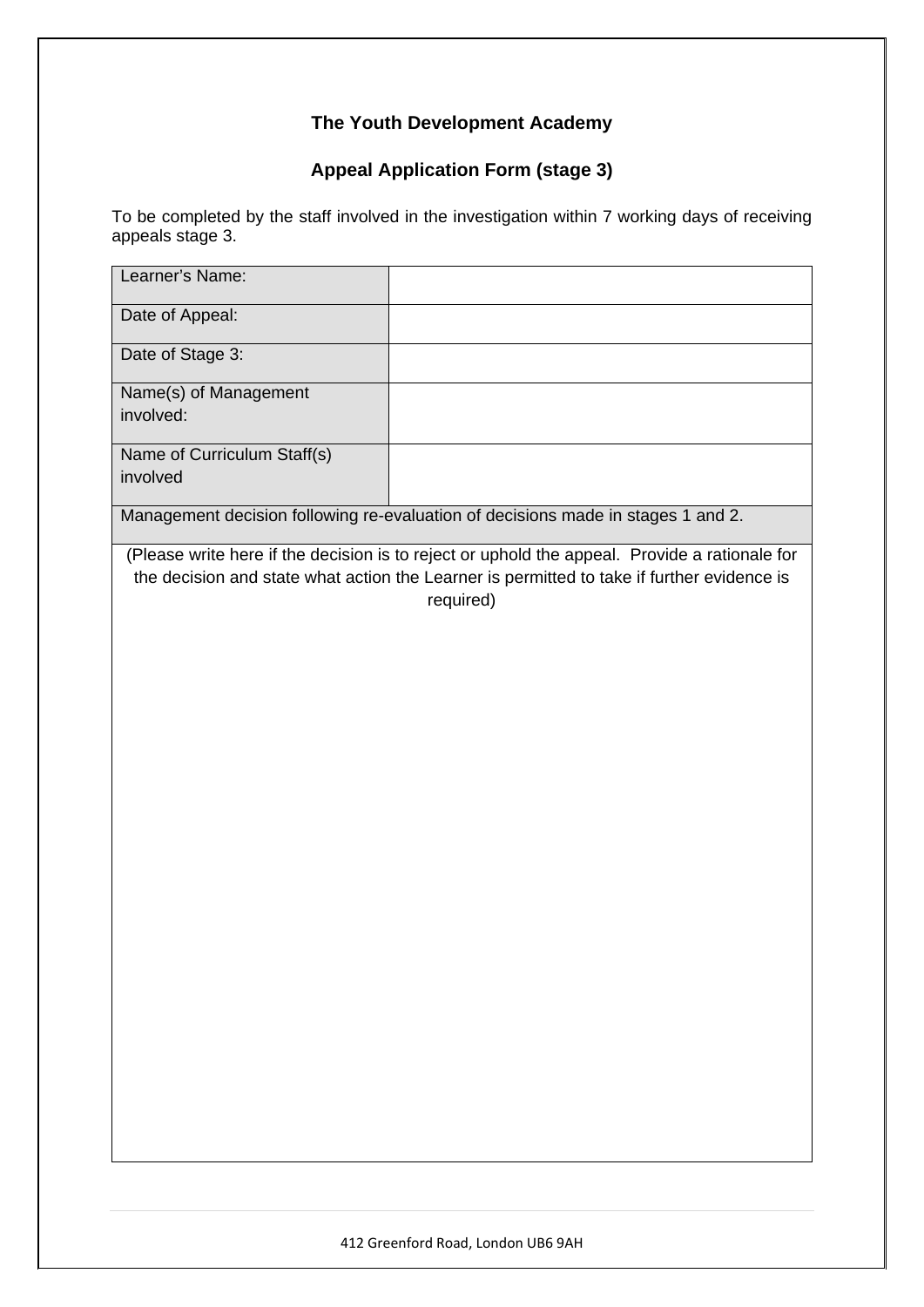# **Appeal Application Form (stage 3)**

To be completed by the staff involved in the investigation within 7 working days of receiving appeals stage 3.

| Learner's Name:                         |                                                                                                                                                                                                          |
|-----------------------------------------|----------------------------------------------------------------------------------------------------------------------------------------------------------------------------------------------------------|
| Date of Appeal:                         |                                                                                                                                                                                                          |
| Date of Stage 3:                        |                                                                                                                                                                                                          |
| Name(s) of Management<br>involved:      |                                                                                                                                                                                                          |
| Name of Curriculum Staff(s)<br>involved |                                                                                                                                                                                                          |
|                                         | Management decision following re-evaluation of decisions made in stages 1 and 2.                                                                                                                         |
|                                         | (Please write here if the decision is to reject or uphold the appeal. Provide a rationale for<br>the decision and state what action the Learner is permitted to take if further evidence is<br>required) |
|                                         |                                                                                                                                                                                                          |
|                                         |                                                                                                                                                                                                          |
|                                         |                                                                                                                                                                                                          |
|                                         |                                                                                                                                                                                                          |
|                                         |                                                                                                                                                                                                          |
|                                         |                                                                                                                                                                                                          |
|                                         |                                                                                                                                                                                                          |
|                                         |                                                                                                                                                                                                          |
|                                         |                                                                                                                                                                                                          |
|                                         |                                                                                                                                                                                                          |
|                                         |                                                                                                                                                                                                          |
|                                         |                                                                                                                                                                                                          |
|                                         |                                                                                                                                                                                                          |
|                                         |                                                                                                                                                                                                          |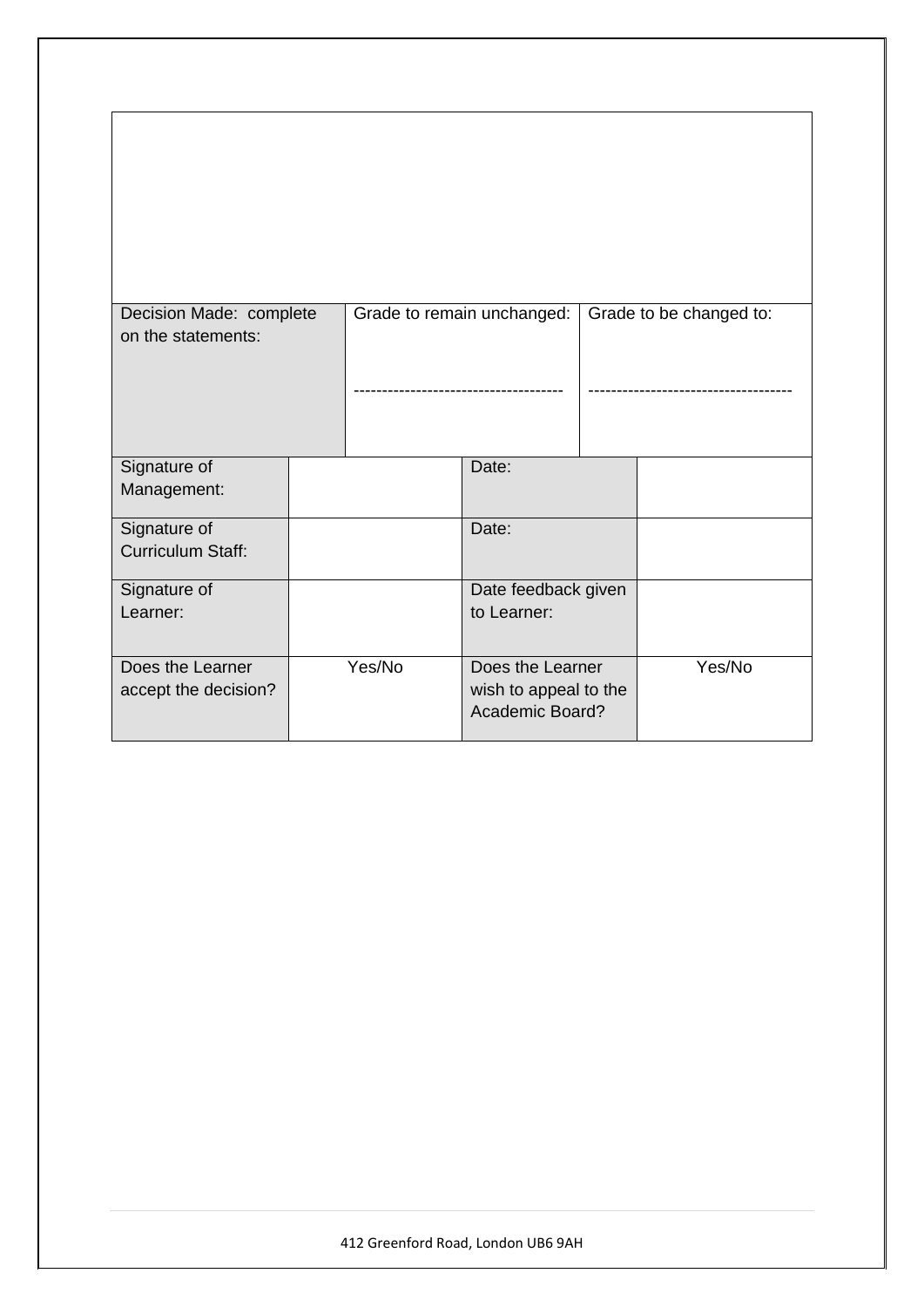| Decision Made: complete |                          |        | Grade to remain unchanged:                      | Grade to be changed to: |        |
|-------------------------|--------------------------|--------|-------------------------------------------------|-------------------------|--------|
| on the statements:      |                          |        |                                                 |                         |        |
|                         |                          |        |                                                 |                         |        |
| Signature of            |                          |        | Date:                                           |                         |        |
| Management:             |                          |        |                                                 |                         |        |
| Signature of            |                          |        | Date:                                           |                         |        |
|                         | <b>Curriculum Staff:</b> |        |                                                 |                         |        |
| Signature of            |                          |        | Date feedback given                             |                         |        |
| Learner:                |                          |        | to Learner:                                     |                         |        |
| Does the Learner        |                          | Yes/No | Does the Learner                                |                         | Yes/No |
| accept the decision?    |                          |        | wish to appeal to the<br><b>Academic Board?</b> |                         |        |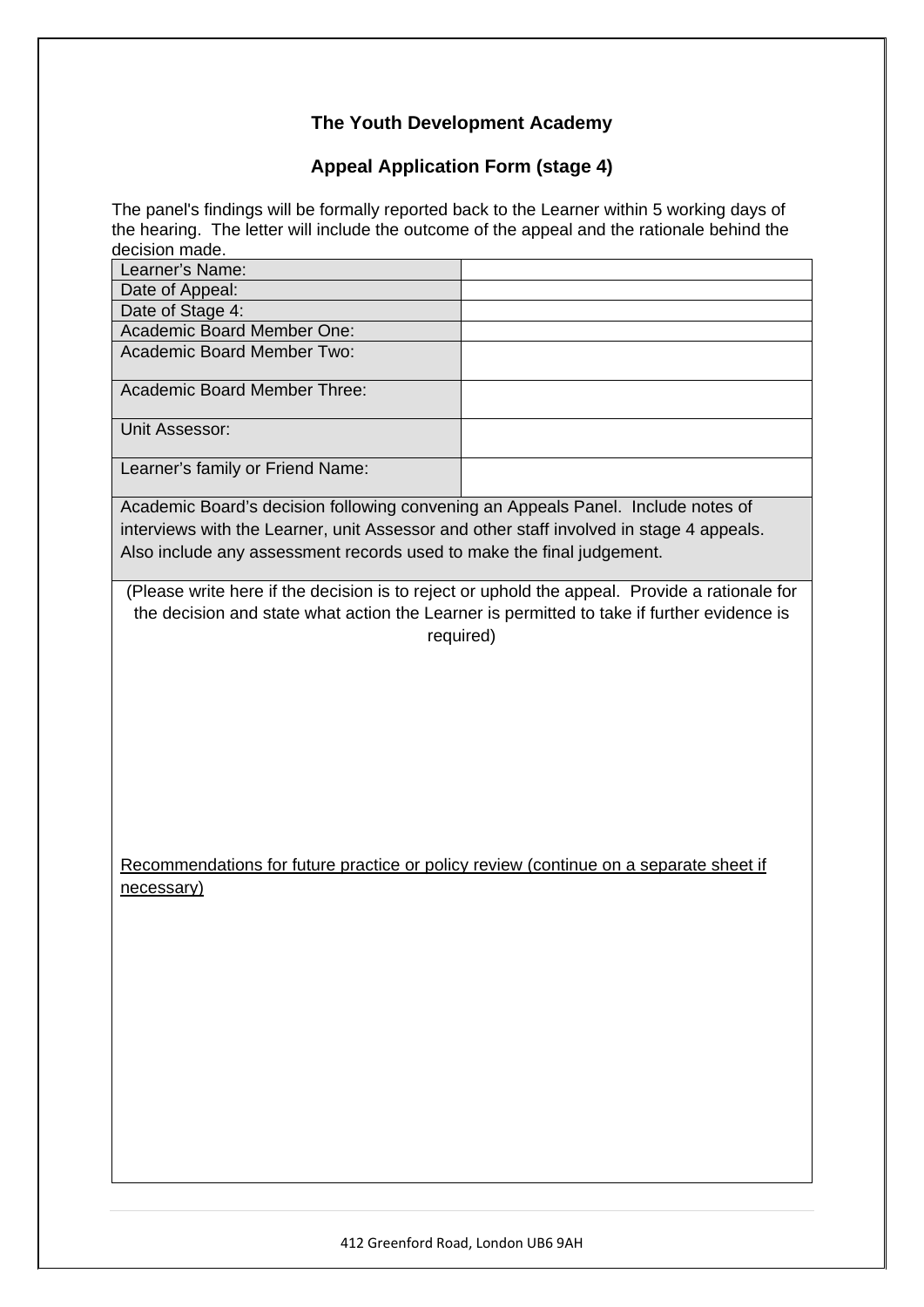# **Appeal Application Form (stage 4)**

The panel's findings will be formally reported back to the Learner within 5 working days of the hearing. The letter will include the outcome of the appeal and the rationale behind the decision made.

| Learner's Name:                                                                         |                                                                                               |
|-----------------------------------------------------------------------------------------|-----------------------------------------------------------------------------------------------|
| Date of Appeal:                                                                         |                                                                                               |
| Date of Stage 4:                                                                        |                                                                                               |
| Academic Board Member One:                                                              |                                                                                               |
| <b>Academic Board Member Two:</b>                                                       |                                                                                               |
| Academic Board Member Three:                                                            |                                                                                               |
| Unit Assessor:                                                                          |                                                                                               |
| Learner's family or Friend Name:                                                        |                                                                                               |
| Academic Board's decision following convening an Appeals Panel. Include notes of        |                                                                                               |
| interviews with the Learner, unit Assessor and other staff involved in stage 4 appeals. |                                                                                               |
| Also include any assessment records used to make the final judgement.                   |                                                                                               |
|                                                                                         |                                                                                               |
|                                                                                         | (Please write here if the decision is to reject or uphold the appeal. Provide a rationale for |
|                                                                                         | the decision and state what action the Learner is permitted to take if further evidence is    |
|                                                                                         | required)                                                                                     |
|                                                                                         |                                                                                               |
|                                                                                         |                                                                                               |
|                                                                                         |                                                                                               |
|                                                                                         |                                                                                               |
|                                                                                         |                                                                                               |
|                                                                                         |                                                                                               |
|                                                                                         |                                                                                               |
|                                                                                         |                                                                                               |
|                                                                                         |                                                                                               |
|                                                                                         |                                                                                               |
|                                                                                         |                                                                                               |
| Recommendations for future practice or policy review (continue on a separate sheet if   |                                                                                               |
| necessary)                                                                              |                                                                                               |
|                                                                                         |                                                                                               |
|                                                                                         |                                                                                               |
|                                                                                         |                                                                                               |
|                                                                                         |                                                                                               |
|                                                                                         |                                                                                               |
|                                                                                         |                                                                                               |
|                                                                                         |                                                                                               |
|                                                                                         |                                                                                               |
|                                                                                         |                                                                                               |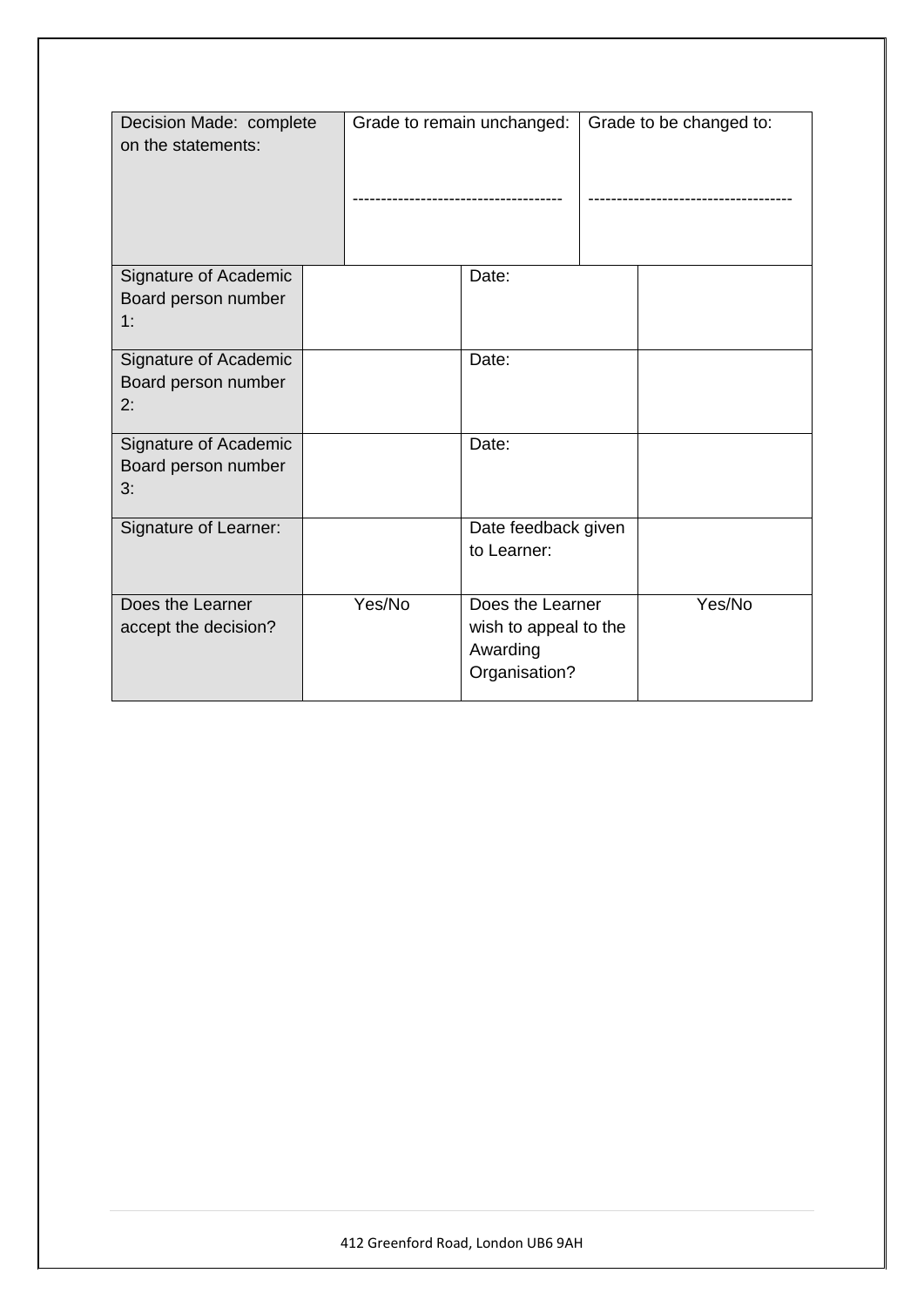| Decision Made: complete<br>on the statements: |  | Grade to remain unchanged: |                       | Grade to be changed to: |        |
|-----------------------------------------------|--|----------------------------|-----------------------|-------------------------|--------|
| Signature of Academic                         |  |                            | Date:                 |                         |        |
| Board person number                           |  |                            |                       |                         |        |
| 1:                                            |  |                            |                       |                         |        |
| Signature of Academic                         |  |                            | Date:                 |                         |        |
| Board person number                           |  |                            |                       |                         |        |
| 2:                                            |  |                            |                       |                         |        |
|                                               |  |                            |                       |                         |        |
| Signature of Academic                         |  |                            | Date:                 |                         |        |
| Board person number                           |  |                            |                       |                         |        |
| 3:                                            |  |                            |                       |                         |        |
|                                               |  |                            |                       |                         |        |
| Signature of Learner:                         |  |                            | Date feedback given   |                         |        |
|                                               |  |                            | to Learner:           |                         |        |
|                                               |  |                            |                       |                         |        |
| Does the Learner                              |  | Yes/No                     | Does the Learner      |                         | Yes/No |
| accept the decision?                          |  |                            | wish to appeal to the |                         |        |
|                                               |  |                            | Awarding              |                         |        |
|                                               |  |                            | Organisation?         |                         |        |
|                                               |  |                            |                       |                         |        |